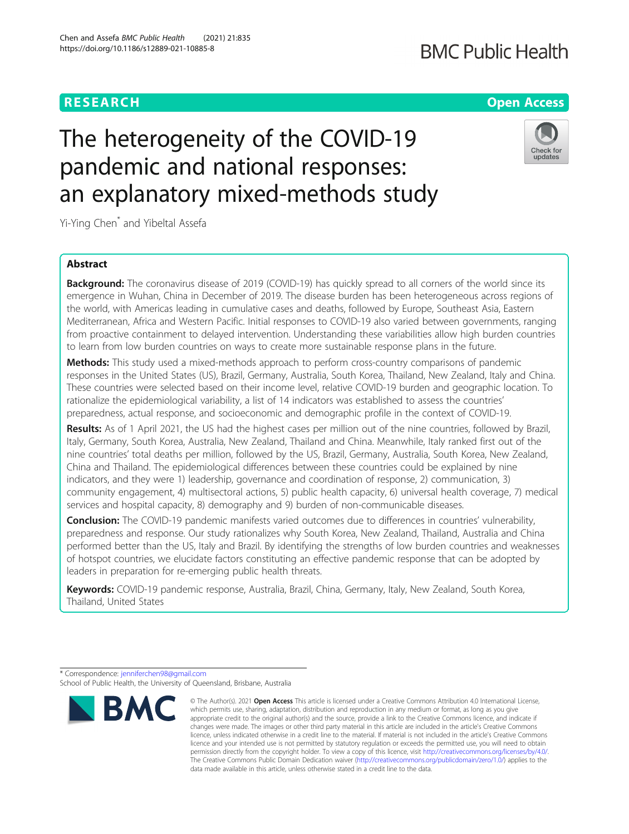### **RESEARCH CHE Open Access**

## **BMC Public Health**

# The heterogeneity of the COVID-19 pandemic and national responses: an explanatory mixed-methods study



Yi-Ying Chen\* and Yibeltal Assefa

### Abstract

**Background:** The coronavirus disease of 2019 (COVID-19) has quickly spread to all corners of the world since its emergence in Wuhan, China in December of 2019. The disease burden has been heterogeneous across regions of the world, with Americas leading in cumulative cases and deaths, followed by Europe, Southeast Asia, Eastern Mediterranean, Africa and Western Pacific. Initial responses to COVID-19 also varied between governments, ranging from proactive containment to delayed intervention. Understanding these variabilities allow high burden countries to learn from low burden countries on ways to create more sustainable response plans in the future.

Methods: This study used a mixed-methods approach to perform cross-country comparisons of pandemic responses in the United States (US), Brazil, Germany, Australia, South Korea, Thailand, New Zealand, Italy and China. These countries were selected based on their income level, relative COVID-19 burden and geographic location. To rationalize the epidemiological variability, a list of 14 indicators was established to assess the countries' preparedness, actual response, and socioeconomic and demographic profile in the context of COVID-19.

Results: As of 1 April 2021, the US had the highest cases per million out of the nine countries, followed by Brazil, Italy, Germany, South Korea, Australia, New Zealand, Thailand and China. Meanwhile, Italy ranked first out of the nine countries' total deaths per million, followed by the US, Brazil, Germany, Australia, South Korea, New Zealand, China and Thailand. The epidemiological differences between these countries could be explained by nine indicators, and they were 1) leadership, governance and coordination of response, 2) communication, 3) community engagement, 4) multisectoral actions, 5) public health capacity, 6) universal health coverage, 7) medical services and hospital capacity, 8) demography and 9) burden of non-communicable diseases.

**Conclusion:** The COVID-19 pandemic manifests varied outcomes due to differences in countries' vulnerability, preparedness and response. Our study rationalizes why South Korea, New Zealand, Thailand, Australia and China performed better than the US, Italy and Brazil. By identifying the strengths of low burden countries and weaknesses of hotspot countries, we elucidate factors constituting an effective pandemic response that can be adopted by leaders in preparation for re-emerging public health threats.

Keywords: COVID-19 pandemic response, Australia, Brazil, China, Germany, Italy, New Zealand, South Korea, Thailand, United States

\* Correspondence: [jenniferchen98@gmail.com](mailto:jenniferchen98@gmail.com)

School of Public Health, the University of Queensland, Brisbane, Australia



<sup>©</sup> The Author(s), 2021 **Open Access** This article is licensed under a Creative Commons Attribution 4.0 International License, which permits use, sharing, adaptation, distribution and reproduction in any medium or format, as long as you give appropriate credit to the original author(s) and the source, provide a link to the Creative Commons licence, and indicate if changes were made. The images or other third party material in this article are included in the article's Creative Commons licence, unless indicated otherwise in a credit line to the material. If material is not included in the article's Creative Commons licence and your intended use is not permitted by statutory regulation or exceeds the permitted use, you will need to obtain permission directly from the copyright holder. To view a copy of this licence, visit [http://creativecommons.org/licenses/by/4.0/.](http://creativecommons.org/licenses/by/4.0/) The Creative Commons Public Domain Dedication waiver [\(http://creativecommons.org/publicdomain/zero/1.0/](http://creativecommons.org/publicdomain/zero/1.0/)) applies to the data made available in this article, unless otherwise stated in a credit line to the data.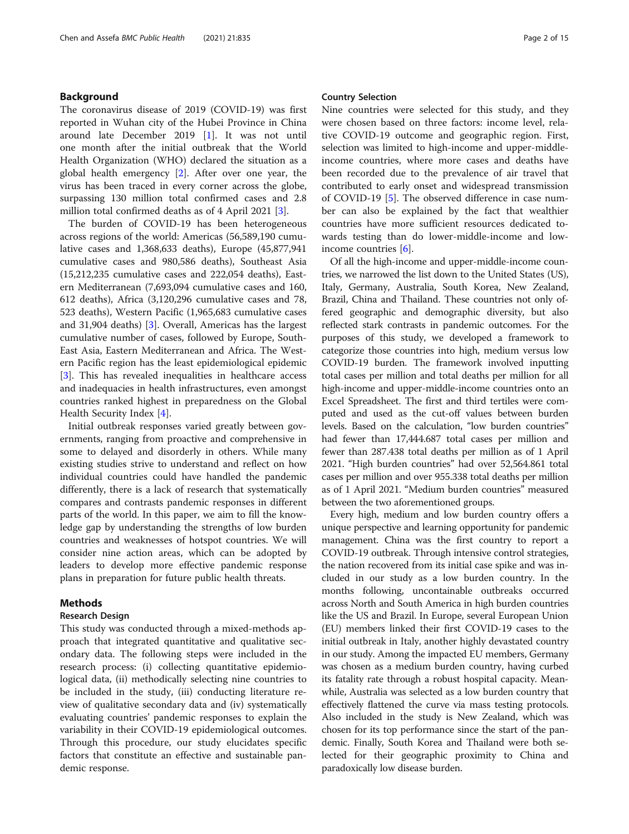#### Background

The coronavirus disease of 2019 (COVID-19) was first reported in Wuhan city of the Hubei Province in China around late December 2019 [\[1](#page-11-0)]. It was not until one month after the initial outbreak that the World Health Organization (WHO) declared the situation as a global health emergency  $[2]$  $[2]$ . After over one year, the virus has been traced in every corner across the globe, surpassing 130 million total confirmed cases and 2.8 million total confirmed deaths as of 4 April 2021 [\[3](#page-11-0)].

The burden of COVID-19 has been heterogeneous across regions of the world: Americas (56,589,190 cumulative cases and 1,368,633 deaths), Europe (45,877,941 cumulative cases and 980,586 deaths), Southeast Asia (15,212,235 cumulative cases and 222,054 deaths), Eastern Mediterranean (7,693,094 cumulative cases and 160, 612 deaths), Africa (3,120,296 cumulative cases and 78, 523 deaths), Western Pacific (1,965,683 cumulative cases and 31,904 deaths) [[3\]](#page-11-0). Overall, Americas has the largest cumulative number of cases, followed by Europe, South-East Asia, Eastern Mediterranean and Africa. The Western Pacific region has the least epidemiological epidemic [[3\]](#page-11-0). This has revealed inequalities in healthcare access and inadequacies in health infrastructures, even amongst countries ranked highest in preparedness on the Global Health Security Index [\[4](#page-11-0)].

Initial outbreak responses varied greatly between governments, ranging from proactive and comprehensive in some to delayed and disorderly in others. While many existing studies strive to understand and reflect on how individual countries could have handled the pandemic differently, there is a lack of research that systematically compares and contrasts pandemic responses in different parts of the world. In this paper, we aim to fill the knowledge gap by understanding the strengths of low burden countries and weaknesses of hotspot countries. We will consider nine action areas, which can be adopted by leaders to develop more effective pandemic response plans in preparation for future public health threats.

#### Methods

#### Research Design

This study was conducted through a mixed-methods approach that integrated quantitative and qualitative secondary data. The following steps were included in the research process: (i) collecting quantitative epidemiological data, (ii) methodically selecting nine countries to be included in the study, (iii) conducting literature review of qualitative secondary data and (iv) systematically evaluating countries' pandemic responses to explain the variability in their COVID-19 epidemiological outcomes. Through this procedure, our study elucidates specific factors that constitute an effective and sustainable pandemic response.

#### Country Selection

Nine countries were selected for this study, and they were chosen based on three factors: income level, relative COVID-19 outcome and geographic region. First, selection was limited to high-income and upper-middleincome countries, where more cases and deaths have been recorded due to the prevalence of air travel that contributed to early onset and widespread transmission of COVID-19 [[5\]](#page-11-0). The observed difference in case number can also be explained by the fact that wealthier countries have more sufficient resources dedicated towards testing than do lower-middle-income and lowincome countries [[6\]](#page-11-0).

Of all the high-income and upper-middle-income countries, we narrowed the list down to the United States (US), Italy, Germany, Australia, South Korea, New Zealand, Brazil, China and Thailand. These countries not only offered geographic and demographic diversity, but also reflected stark contrasts in pandemic outcomes. For the purposes of this study, we developed a framework to categorize those countries into high, medium versus low COVID-19 burden. The framework involved inputting total cases per million and total deaths per million for all high-income and upper-middle-income countries onto an Excel Spreadsheet. The first and third tertiles were computed and used as the cut-off values between burden levels. Based on the calculation, "low burden countries" had fewer than 17,444.687 total cases per million and fewer than 287.438 total deaths per million as of 1 April 2021. "High burden countries" had over 52,564.861 total cases per million and over 955.338 total deaths per million as of 1 April 2021. "Medium burden countries" measured between the two aforementioned groups.

Every high, medium and low burden country offers a unique perspective and learning opportunity for pandemic management. China was the first country to report a COVID-19 outbreak. Through intensive control strategies, the nation recovered from its initial case spike and was included in our study as a low burden country. In the months following, uncontainable outbreaks occurred across North and South America in high burden countries like the US and Brazil. In Europe, several European Union (EU) members linked their first COVID-19 cases to the initial outbreak in Italy, another highly devastated country in our study. Among the impacted EU members, Germany was chosen as a medium burden country, having curbed its fatality rate through a robust hospital capacity. Meanwhile, Australia was selected as a low burden country that effectively flattened the curve via mass testing protocols. Also included in the study is New Zealand, which was chosen for its top performance since the start of the pandemic. Finally, South Korea and Thailand were both selected for their geographic proximity to China and paradoxically low disease burden.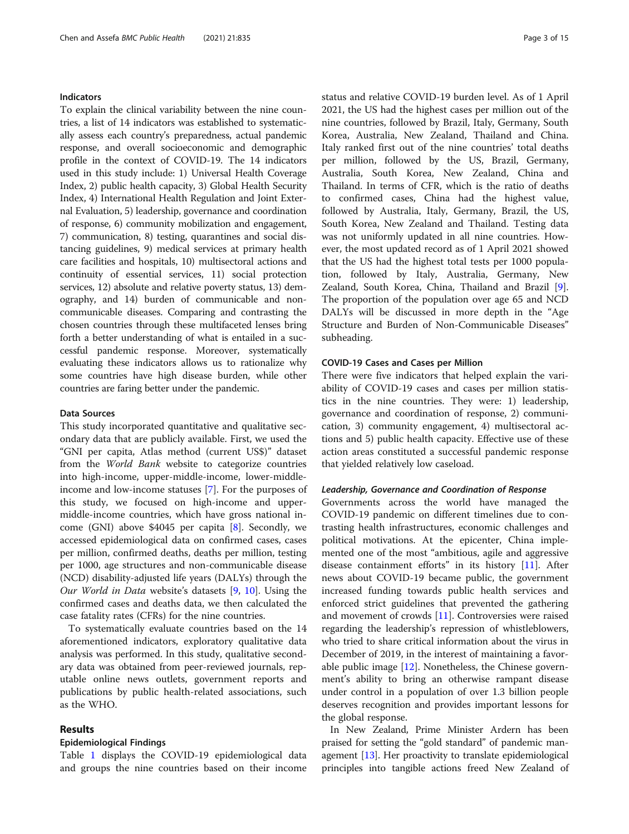#### Indicators

To explain the clinical variability between the nine countries, a list of 14 indicators was established to systematically assess each country's preparedness, actual pandemic response, and overall socioeconomic and demographic profile in the context of COVID-19. The 14 indicators used in this study include: 1) Universal Health Coverage Index, 2) public health capacity, 3) Global Health Security Index, 4) International Health Regulation and Joint External Evaluation, 5) leadership, governance and coordination of response, 6) community mobilization and engagement, 7) communication, 8) testing, quarantines and social distancing guidelines, 9) medical services at primary health care facilities and hospitals, 10) multisectoral actions and continuity of essential services, 11) social protection services, 12) absolute and relative poverty status, 13) demography, and 14) burden of communicable and noncommunicable diseases. Comparing and contrasting the chosen countries through these multifaceted lenses bring forth a better understanding of what is entailed in a successful pandemic response. Moreover, systematically evaluating these indicators allows us to rationalize why some countries have high disease burden, while other countries are faring better under the pandemic.

#### Data Sources

This study incorporated quantitative and qualitative secondary data that are publicly available. First, we used the "GNI per capita, Atlas method (current US\$)" dataset from the World Bank website to categorize countries into high-income, upper-middle-income, lower-middleincome and low-income statuses [[7\]](#page-11-0). For the purposes of this study, we focused on high-income and uppermiddle-income countries, which have gross national income (GNI) above \$4045 per capita [[8\]](#page-11-0). Secondly, we accessed epidemiological data on confirmed cases, cases per million, confirmed deaths, deaths per million, testing per 1000, age structures and non-communicable disease (NCD) disability-adjusted life years (DALYs) through the Our World in Data website's datasets [[9,](#page-11-0) [10](#page-11-0)]. Using the confirmed cases and deaths data, we then calculated the case fatality rates (CFRs) for the nine countries.

To systematically evaluate countries based on the 14 aforementioned indicators, exploratory qualitative data analysis was performed. In this study, qualitative secondary data was obtained from peer-reviewed journals, reputable online news outlets, government reports and publications by public health-related associations, such as the WHO.

#### Results

#### Epidemiological Findings

Table [1](#page-3-0) displays the COVID-19 epidemiological data and groups the nine countries based on their income status and relative COVID-19 burden level. As of 1 April 2021, the US had the highest cases per million out of the nine countries, followed by Brazil, Italy, Germany, South Korea, Australia, New Zealand, Thailand and China. Italy ranked first out of the nine countries' total deaths per million, followed by the US, Brazil, Germany, Australia, South Korea, New Zealand, China and Thailand. In terms of CFR, which is the ratio of deaths to confirmed cases, China had the highest value, followed by Australia, Italy, Germany, Brazil, the US, South Korea, New Zealand and Thailand. Testing data was not uniformly updated in all nine countries. However, the most updated record as of 1 April 2021 showed that the US had the highest total tests per 1000 population, followed by Italy, Australia, Germany, New Zealand, South Korea, China, Thailand and Brazil [\[9](#page-11-0)]. The proportion of the population over age 65 and NCD DALYs will be discussed in more depth in the "Age Structure and Burden of Non-Communicable Diseases" subheading.

#### COVID-19 Cases and Cases per Million

There were five indicators that helped explain the variability of COVID-19 cases and cases per million statistics in the nine countries. They were: 1) leadership, governance and coordination of response, 2) communication, 3) community engagement, 4) multisectoral actions and 5) public health capacity. Effective use of these action areas constituted a successful pandemic response that yielded relatively low caseload.

#### Leadership, Governance and Coordination of Response

Governments across the world have managed the COVID-19 pandemic on different timelines due to contrasting health infrastructures, economic challenges and political motivations. At the epicenter, China implemented one of the most "ambitious, agile and aggressive disease containment efforts" in its history [[11\]](#page-11-0). After news about COVID-19 became public, the government increased funding towards public health services and enforced strict guidelines that prevented the gathering and movement of crowds [\[11\]](#page-11-0). Controversies were raised regarding the leadership's repression of whistleblowers, who tried to share critical information about the virus in December of 2019, in the interest of maintaining a favorable public image [[12\]](#page-11-0). Nonetheless, the Chinese government's ability to bring an otherwise rampant disease under control in a population of over 1.3 billion people deserves recognition and provides important lessons for the global response.

In New Zealand, Prime Minister Ardern has been praised for setting the "gold standard" of pandemic management [\[13\]](#page-11-0). Her proactivity to translate epidemiological principles into tangible actions freed New Zealand of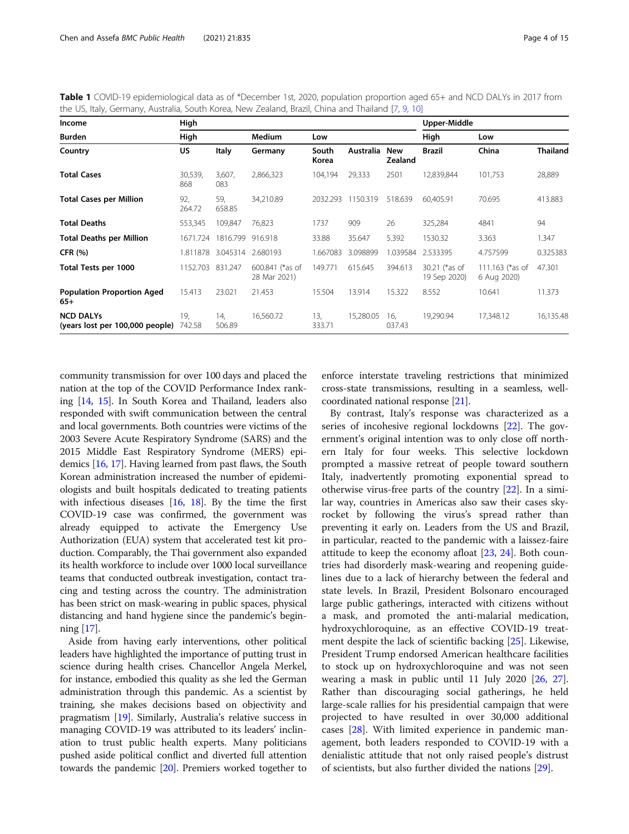<span id="page-3-0"></span>

| Table 1 COVID-19 epidemiological data as of *December 1st, 2020, population proportion aged 65+ and NCD DALYs in 2017 from |  |  |  |
|----------------------------------------------------------------------------------------------------------------------------|--|--|--|
| the US, Italy, Germany, Australia, South Korea, New Zealand, Brazil, China and Thailand [7, 9, 10]                         |  |  |  |

| Income                                              | High           |                  |                                 |                |           |                              | Upper-Middle                  |                                    |                 |
|-----------------------------------------------------|----------------|------------------|---------------------------------|----------------|-----------|------------------------------|-------------------------------|------------------------------------|-----------------|
| Burden                                              | High           |                  | <b>Medium</b>                   | Low            |           |                              | High                          | Low                                |                 |
| Country                                             | US.            | Italy            | Germany                         | South<br>Korea | Australia | <b>New</b><br><b>Zealand</b> | <b>Brazil</b>                 | China                              | <b>Thailand</b> |
| <b>Total Cases</b>                                  | 30,539,<br>868 | 3,607,<br>083    | 2,866,323                       | 104,194        | 29,333    | 2501                         | 12,839,844                    | 101,753                            | 28,889          |
| <b>Total Cases per Million</b>                      | 92,<br>264.72  | 59,<br>658.85    | 34,210.89                       | 2032.293       | 1150.319  | 518.639                      | 60.405.91                     | 70.695                             | 413.883         |
| <b>Total Deaths</b>                                 | 553,345        | 109,847          | 76.823                          | 1737           | 909       | 26                           | 325,284                       | 4841                               | 94              |
| <b>Total Deaths per Million</b>                     | 1671.724       | 1816.799 916.918 |                                 | 33.88          | 35.647    | 5.392                        | 1530.32                       | 3.363                              | 1.347           |
| <b>CFR (%)</b>                                      | 1.811878       |                  | 3.045314 2.680193               | 1.667083       | 3.098899  | 1.039584                     | 2.533395                      | 4.757599                           | 0.325383        |
| Total Tests per 1000                                | 1152.703       | 831.247          | 600.841 (*as of<br>28 Mar 2021) | 149.771        | 615.645   | 394.613                      | 30.21 (*as of<br>19 Sep 2020) | 111.163 ( $*$ as of<br>6 Aug 2020) | 47.301          |
| <b>Population Proportion Aged</b><br>$65+$          | 15.413         | 23.021           | 21.453                          | 15.504         | 13.914    | 15.322                       | 8.552                         | 10.641                             | 11.373          |
| <b>NCD DALYs</b><br>(years lost per 100,000 people) | 19.<br>742.58  | 14,<br>506.89    | 16,560.72                       | 13,<br>333.71  | 15,280.05 | 16.<br>037.43                | 19,290.94                     | 17,348.12                          | 16,135.48       |

community transmission for over 100 days and placed the nation at the top of the COVID Performance Index ranking [[14](#page-11-0), [15\]](#page-11-0). In South Korea and Thailand, leaders also responded with swift communication between the central and local governments. Both countries were victims of the 2003 Severe Acute Respiratory Syndrome (SARS) and the 2015 Middle East Respiratory Syndrome (MERS) epidemics [\[16](#page-11-0), [17\]](#page-11-0). Having learned from past flaws, the South Korean administration increased the number of epidemiologists and built hospitals dedicated to treating patients with infectious diseases  $[16, 18]$  $[16, 18]$  $[16, 18]$  $[16, 18]$ . By the time the first COVID-19 case was confirmed, the government was already equipped to activate the Emergency Use Authorization (EUA) system that accelerated test kit production. Comparably, the Thai government also expanded its health workforce to include over 1000 local surveillance teams that conducted outbreak investigation, contact tracing and testing across the country. The administration has been strict on mask-wearing in public spaces, physical distancing and hand hygiene since the pandemic's beginning [\[17\]](#page-11-0).

Aside from having early interventions, other political leaders have highlighted the importance of putting trust in science during health crises. Chancellor Angela Merkel, for instance, embodied this quality as she led the German administration through this pandemic. As a scientist by training, she makes decisions based on objectivity and pragmatism [\[19\]](#page-11-0). Similarly, Australia's relative success in managing COVID-19 was attributed to its leaders' inclination to trust public health experts. Many politicians pushed aside political conflict and diverted full attention towards the pandemic [\[20\]](#page-11-0). Premiers worked together to

enforce interstate traveling restrictions that minimized cross-state transmissions, resulting in a seamless, wellcoordinated national response [[21](#page-11-0)].

By contrast, Italy's response was characterized as a series of incohesive regional lockdowns [\[22\]](#page-11-0). The government's original intention was to only close off northern Italy for four weeks. This selective lockdown prompted a massive retreat of people toward southern Italy, inadvertently promoting exponential spread to otherwise virus-free parts of the country [\[22](#page-11-0)]. In a similar way, countries in Americas also saw their cases skyrocket by following the virus's spread rather than preventing it early on. Leaders from the US and Brazil, in particular, reacted to the pandemic with a laissez-faire attitude to keep the economy afloat [\[23](#page-11-0), [24](#page-11-0)]. Both countries had disorderly mask-wearing and reopening guidelines due to a lack of hierarchy between the federal and state levels. In Brazil, President Bolsonaro encouraged large public gatherings, interacted with citizens without a mask, and promoted the anti-malarial medication, hydroxychloroquine, as an effective COVID-19 treatment despite the lack of scientific backing [\[25](#page-11-0)]. Likewise, President Trump endorsed American healthcare facilities to stock up on hydroxychloroquine and was not seen wearing a mask in public until 11 July 2020 [[26](#page-11-0), [27](#page-11-0)]. Rather than discouraging social gatherings, he held large-scale rallies for his presidential campaign that were projected to have resulted in over 30,000 additional cases [\[28](#page-11-0)]. With limited experience in pandemic management, both leaders responded to COVID-19 with a denialistic attitude that not only raised people's distrust of scientists, but also further divided the nations [[29\]](#page-11-0).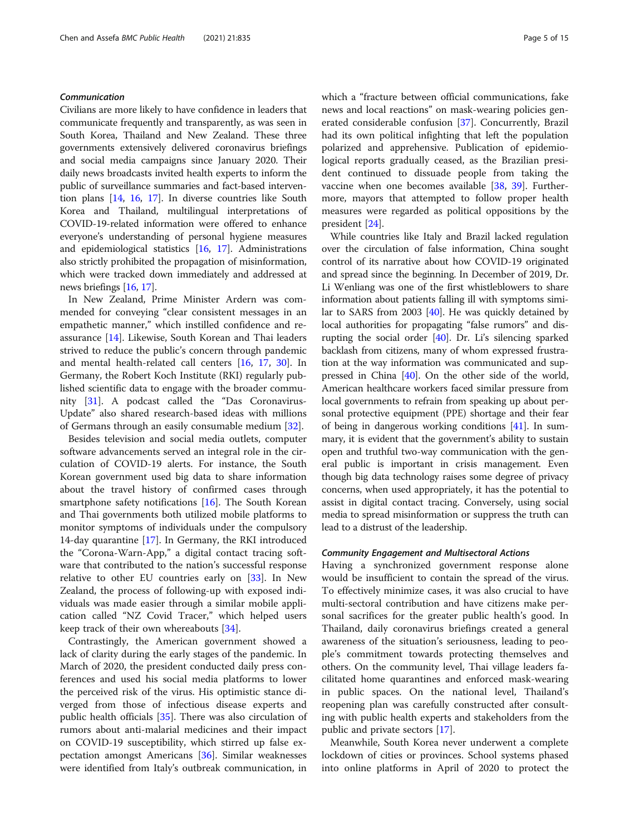#### Communication

Civilians are more likely to have confidence in leaders that communicate frequently and transparently, as was seen in South Korea, Thailand and New Zealand. These three governments extensively delivered coronavirus briefings and social media campaigns since January 2020. Their daily news broadcasts invited health experts to inform the public of surveillance summaries and fact-based intervention plans [[14](#page-11-0), [16,](#page-11-0) [17](#page-11-0)]. In diverse countries like South Korea and Thailand, multilingual interpretations of COVID-19-related information were offered to enhance everyone's understanding of personal hygiene measures and epidemiological statistics [\[16,](#page-11-0) [17](#page-11-0)]. Administrations also strictly prohibited the propagation of misinformation, which were tracked down immediately and addressed at news briefings [\[16](#page-11-0), [17](#page-11-0)].

In New Zealand, Prime Minister Ardern was commended for conveying "clear consistent messages in an empathetic manner," which instilled confidence and reassurance [[14\]](#page-11-0). Likewise, South Korean and Thai leaders strived to reduce the public's concern through pandemic and mental health-related call centers [[16,](#page-11-0) [17,](#page-11-0) [30\]](#page-11-0). In Germany, the Robert Koch Institute (RKI) regularly published scientific data to engage with the broader community [[31\]](#page-11-0). A podcast called the "Das Coronavirus-Update" also shared research-based ideas with millions of Germans through an easily consumable medium [[32](#page-12-0)].

Besides television and social media outlets, computer software advancements served an integral role in the circulation of COVID-19 alerts. For instance, the South Korean government used big data to share information about the travel history of confirmed cases through smartphone safety notifications  $[16]$  $[16]$ . The South Korean and Thai governments both utilized mobile platforms to monitor symptoms of individuals under the compulsory 14-day quarantine [[17](#page-11-0)]. In Germany, the RKI introduced the "Corona-Warn-App," a digital contact tracing software that contributed to the nation's successful response relative to other EU countries early on [\[33](#page-12-0)]. In New Zealand, the process of following-up with exposed individuals was made easier through a similar mobile application called "NZ Covid Tracer," which helped users keep track of their own whereabouts [[34\]](#page-12-0).

Contrastingly, the American government showed a lack of clarity during the early stages of the pandemic. In March of 2020, the president conducted daily press conferences and used his social media platforms to lower the perceived risk of the virus. His optimistic stance diverged from those of infectious disease experts and public health officials [[35](#page-12-0)]. There was also circulation of rumors about anti-malarial medicines and their impact on COVID-19 susceptibility, which stirred up false expectation amongst Americans [[36\]](#page-12-0). Similar weaknesses were identified from Italy's outbreak communication, in which a "fracture between official communications, fake news and local reactions" on mask-wearing policies generated considerable confusion [[37\]](#page-12-0). Concurrently, Brazil had its own political infighting that left the population polarized and apprehensive. Publication of epidemiological reports gradually ceased, as the Brazilian president continued to dissuade people from taking the vaccine when one becomes available [\[38,](#page-12-0) [39](#page-12-0)]. Furthermore, mayors that attempted to follow proper health measures were regarded as political oppositions by the president [[24](#page-11-0)].

While countries like Italy and Brazil lacked regulation over the circulation of false information, China sought control of its narrative about how COVID-19 originated and spread since the beginning. In December of 2019, Dr. Li Wenliang was one of the first whistleblowers to share information about patients falling ill with symptoms similar to SARS from 2003 [\[40](#page-12-0)]. He was quickly detained by local authorities for propagating "false rumors" and disrupting the social order [[40](#page-12-0)]. Dr. Li's silencing sparked backlash from citizens, many of whom expressed frustration at the way information was communicated and suppressed in China [\[40\]](#page-12-0). On the other side of the world, American healthcare workers faced similar pressure from local governments to refrain from speaking up about personal protective equipment (PPE) shortage and their fear of being in dangerous working conditions [\[41\]](#page-12-0). In summary, it is evident that the government's ability to sustain open and truthful two-way communication with the general public is important in crisis management. Even though big data technology raises some degree of privacy concerns, when used appropriately, it has the potential to assist in digital contact tracing. Conversely, using social media to spread misinformation or suppress the truth can lead to a distrust of the leadership.

#### Community Engagement and Multisectoral Actions

Having a synchronized government response alone would be insufficient to contain the spread of the virus. To effectively minimize cases, it was also crucial to have multi-sectoral contribution and have citizens make personal sacrifices for the greater public health's good. In Thailand, daily coronavirus briefings created a general awareness of the situation's seriousness, leading to people's commitment towards protecting themselves and others. On the community level, Thai village leaders facilitated home quarantines and enforced mask-wearing in public spaces. On the national level, Thailand's reopening plan was carefully constructed after consulting with public health experts and stakeholders from the public and private sectors [\[17\]](#page-11-0).

Meanwhile, South Korea never underwent a complete lockdown of cities or provinces. School systems phased into online platforms in April of 2020 to protect the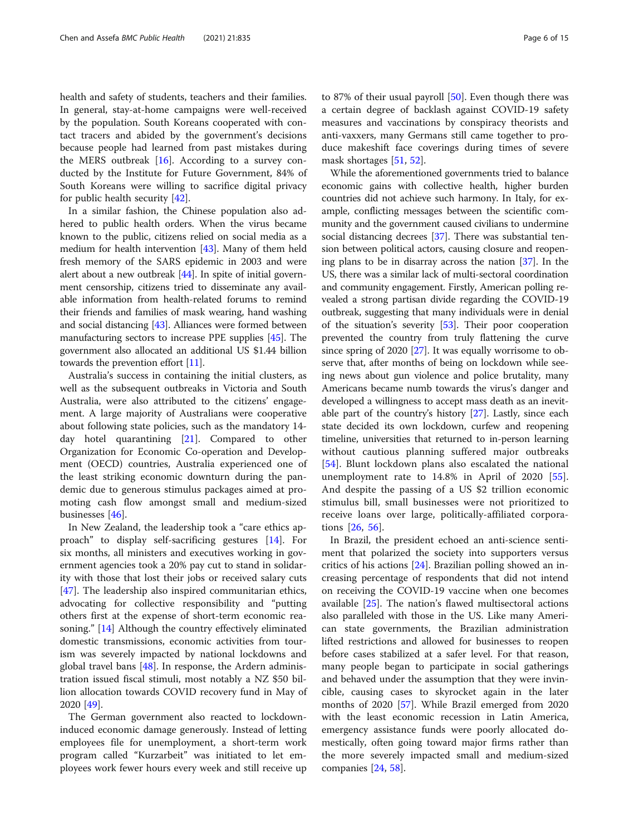health and safety of students, teachers and their families. In general, stay-at-home campaigns were well-received by the population. South Koreans cooperated with contact tracers and abided by the government's decisions because people had learned from past mistakes during the MERS outbreak  $[16]$  $[16]$ . According to a survey conducted by the Institute for Future Government, 84% of South Koreans were willing to sacrifice digital privacy for public health security [\[42](#page-12-0)].

In a similar fashion, the Chinese population also adhered to public health orders. When the virus became known to the public, citizens relied on social media as a medium for health intervention [\[43](#page-12-0)]. Many of them held fresh memory of the SARS epidemic in 2003 and were alert about a new outbreak [[44](#page-12-0)]. In spite of initial government censorship, citizens tried to disseminate any available information from health-related forums to remind their friends and families of mask wearing, hand washing and social distancing [\[43](#page-12-0)]. Alliances were formed between manufacturing sectors to increase PPE supplies [\[45\]](#page-12-0). The government also allocated an additional US \$1.44 billion towards the prevention effort [\[11\]](#page-11-0).

Australia's success in containing the initial clusters, as well as the subsequent outbreaks in Victoria and South Australia, were also attributed to the citizens' engagement. A large majority of Australians were cooperative about following state policies, such as the mandatory 14 day hotel quarantining [[21](#page-11-0)]. Compared to other Organization for Economic Co-operation and Development (OECD) countries, Australia experienced one of the least striking economic downturn during the pandemic due to generous stimulus packages aimed at promoting cash flow amongst small and medium-sized businesses [\[46\]](#page-12-0).

In New Zealand, the leadership took a "care ethics approach" to display self-sacrificing gestures [[14](#page-11-0)]. For six months, all ministers and executives working in government agencies took a 20% pay cut to stand in solidarity with those that lost their jobs or received salary cuts [[47\]](#page-12-0). The leadership also inspired communitarian ethics, advocating for collective responsibility and "putting others first at the expense of short-term economic reasoning." [[14\]](#page-11-0) Although the country effectively eliminated domestic transmissions, economic activities from tourism was severely impacted by national lockdowns and global travel bans [\[48\]](#page-12-0). In response, the Ardern administration issued fiscal stimuli, most notably a NZ \$50 billion allocation towards COVID recovery fund in May of 2020 [\[49](#page-12-0)].

The German government also reacted to lockdowninduced economic damage generously. Instead of letting employees file for unemployment, a short-term work program called "Kurzarbeit" was initiated to let employees work fewer hours every week and still receive up

to 87% of their usual payroll [[50\]](#page-12-0). Even though there was a certain degree of backlash against COVID-19 safety measures and vaccinations by conspiracy theorists and anti-vaxxers, many Germans still came together to produce makeshift face coverings during times of severe mask shortages [\[51](#page-12-0), [52](#page-12-0)].

While the aforementioned governments tried to balance economic gains with collective health, higher burden countries did not achieve such harmony. In Italy, for example, conflicting messages between the scientific community and the government caused civilians to undermine social distancing decrees [\[37](#page-12-0)]. There was substantial tension between political actors, causing closure and reopening plans to be in disarray across the nation [\[37\]](#page-12-0). In the US, there was a similar lack of multi-sectoral coordination and community engagement. Firstly, American polling revealed a strong partisan divide regarding the COVID-19 outbreak, suggesting that many individuals were in denial of the situation's severity [[53](#page-12-0)]. Their poor cooperation prevented the country from truly flattening the curve since spring of 2020 [\[27\]](#page-11-0). It was equally worrisome to observe that, after months of being on lockdown while seeing news about gun violence and police brutality, many Americans became numb towards the virus's danger and developed a willingness to accept mass death as an inevitable part of the country's history [\[27\]](#page-11-0). Lastly, since each state decided its own lockdown, curfew and reopening timeline, universities that returned to in-person learning without cautious planning suffered major outbreaks [[54\]](#page-12-0). Blunt lockdown plans also escalated the national unemployment rate to 14.8% in April of 2020 [\[55](#page-12-0)]. And despite the passing of a US \$2 trillion economic stimulus bill, small businesses were not prioritized to receive loans over large, politically-affiliated corporations [\[26](#page-11-0), [56\]](#page-12-0).

In Brazil, the president echoed an anti-science sentiment that polarized the society into supporters versus critics of his actions [[24\]](#page-11-0). Brazilian polling showed an increasing percentage of respondents that did not intend on receiving the COVID-19 vaccine when one becomes available [[25\]](#page-11-0). The nation's flawed multisectoral actions also paralleled with those in the US. Like many American state governments, the Brazilian administration lifted restrictions and allowed for businesses to reopen before cases stabilized at a safer level. For that reason, many people began to participate in social gatherings and behaved under the assumption that they were invincible, causing cases to skyrocket again in the later months of 2020 [\[57](#page-12-0)]. While Brazil emerged from 2020 with the least economic recession in Latin America, emergency assistance funds were poorly allocated domestically, often going toward major firms rather than the more severely impacted small and medium-sized companies [\[24](#page-11-0), [58\]](#page-12-0).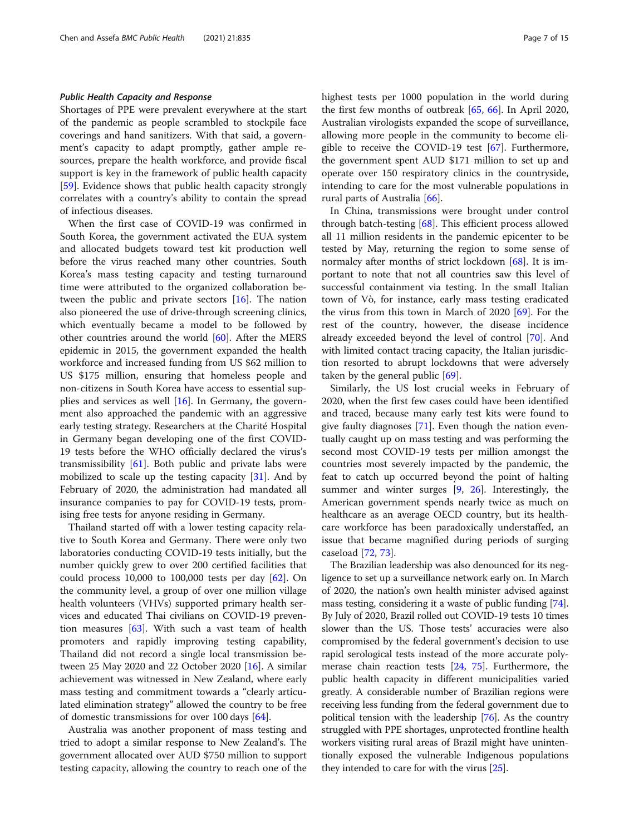#### Public Health Capacity and Response

Shortages of PPE were prevalent everywhere at the start of the pandemic as people scrambled to stockpile face coverings and hand sanitizers. With that said, a government's capacity to adapt promptly, gather ample resources, prepare the health workforce, and provide fiscal support is key in the framework of public health capacity [[59\]](#page-12-0). Evidence shows that public health capacity strongly correlates with a country's ability to contain the spread of infectious diseases.

When the first case of COVID-19 was confirmed in South Korea, the government activated the EUA system and allocated budgets toward test kit production well before the virus reached many other countries. South Korea's mass testing capacity and testing turnaround time were attributed to the organized collaboration between the public and private sectors [\[16\]](#page-11-0). The nation also pioneered the use of drive-through screening clinics, which eventually became a model to be followed by other countries around the world  $[60]$  $[60]$ . After the MERS epidemic in 2015, the government expanded the health workforce and increased funding from US \$62 million to US \$175 million, ensuring that homeless people and non-citizens in South Korea have access to essential supplies and services as well [[16\]](#page-11-0). In Germany, the government also approached the pandemic with an aggressive early testing strategy. Researchers at the Charité Hospital in Germany began developing one of the first COVID-19 tests before the WHO officially declared the virus's transmissibility  $[61]$  $[61]$ . Both public and private labs were mobilized to scale up the testing capacity [\[31\]](#page-11-0). And by February of 2020, the administration had mandated all insurance companies to pay for COVID-19 tests, promising free tests for anyone residing in Germany.

Thailand started off with a lower testing capacity relative to South Korea and Germany. There were only two laboratories conducting COVID-19 tests initially, but the number quickly grew to over 200 certified facilities that could process 10,000 to 100,000 tests per day [\[62\]](#page-12-0). On the community level, a group of over one million village health volunteers (VHVs) supported primary health services and educated Thai civilians on COVID-19 prevention measures [[63\]](#page-12-0). With such a vast team of health promoters and rapidly improving testing capability, Thailand did not record a single local transmission between 25 May 2020 and 22 October 2020 [\[16](#page-11-0)]. A similar achievement was witnessed in New Zealand, where early mass testing and commitment towards a "clearly articulated elimination strategy" allowed the country to be free of domestic transmissions for over 100 days [[64\]](#page-12-0).

Australia was another proponent of mass testing and tried to adopt a similar response to New Zealand's. The government allocated over AUD \$750 million to support testing capacity, allowing the country to reach one of the highest tests per 1000 population in the world during the first few months of outbreak [\[65](#page-12-0), [66\]](#page-12-0). In April 2020, Australian virologists expanded the scope of surveillance, allowing more people in the community to become eligible to receive the COVID-19 test [\[67](#page-12-0)]. Furthermore, the government spent AUD \$171 million to set up and operate over 150 respiratory clinics in the countryside, intending to care for the most vulnerable populations in rural parts of Australia [\[66](#page-12-0)].

In China, transmissions were brought under control through batch-testing [[68](#page-12-0)]. This efficient process allowed all 11 million residents in the pandemic epicenter to be tested by May, returning the region to some sense of normalcy after months of strict lockdown [[68](#page-12-0)]. It is important to note that not all countries saw this level of successful containment via testing. In the small Italian town of Vò, for instance, early mass testing eradicated the virus from this town in March of 2020 [[69](#page-12-0)]. For the rest of the country, however, the disease incidence already exceeded beyond the level of control [[70](#page-12-0)]. And with limited contact tracing capacity, the Italian jurisdiction resorted to abrupt lockdowns that were adversely taken by the general public [\[69\]](#page-12-0).

Similarly, the US lost crucial weeks in February of 2020, when the first few cases could have been identified and traced, because many early test kits were found to give faulty diagnoses  $[71]$  $[71]$ . Even though the nation eventually caught up on mass testing and was performing the second most COVID-19 tests per million amongst the countries most severely impacted by the pandemic, the feat to catch up occurred beyond the point of halting summer and winter surges [\[9](#page-11-0), [26](#page-11-0)]. Interestingly, the American government spends nearly twice as much on healthcare as an average OECD country, but its healthcare workforce has been paradoxically understaffed, an issue that became magnified during periods of surging caseload [\[72,](#page-12-0) [73\]](#page-13-0).

The Brazilian leadership was also denounced for its negligence to set up a surveillance network early on. In March of 2020, the nation's own health minister advised against mass testing, considering it a waste of public funding [[74](#page-13-0)]. By July of 2020, Brazil rolled out COVID-19 tests 10 times slower than the US. Those tests' accuracies were also compromised by the federal government's decision to use rapid serological tests instead of the more accurate polymerase chain reaction tests [[24](#page-11-0), [75\]](#page-13-0). Furthermore, the public health capacity in different municipalities varied greatly. A considerable number of Brazilian regions were receiving less funding from the federal government due to political tension with the leadership [\[76\]](#page-13-0). As the country struggled with PPE shortages, unprotected frontline health workers visiting rural areas of Brazil might have unintentionally exposed the vulnerable Indigenous populations they intended to care for with the virus [[25](#page-11-0)].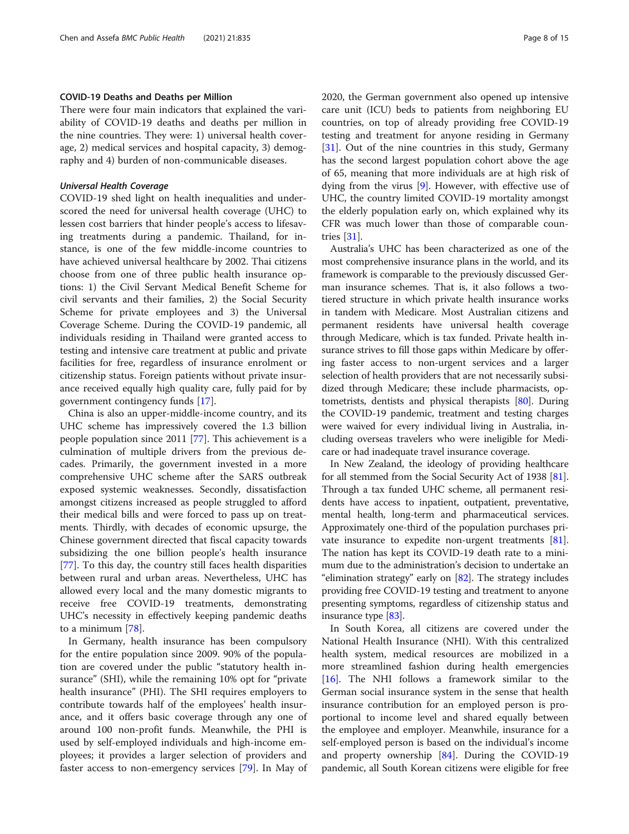#### COVID-19 Deaths and Deaths per Million

There were four main indicators that explained the variability of COVID-19 deaths and deaths per million in the nine countries. They were: 1) universal health coverage, 2) medical services and hospital capacity, 3) demography and 4) burden of non-communicable diseases.

#### Universal Health Coverage

COVID-19 shed light on health inequalities and underscored the need for universal health coverage (UHC) to lessen cost barriers that hinder people's access to lifesaving treatments during a pandemic. Thailand, for instance, is one of the few middle-income countries to have achieved universal healthcare by 2002. Thai citizens choose from one of three public health insurance options: 1) the Civil Servant Medical Benefit Scheme for civil servants and their families, 2) the Social Security Scheme for private employees and 3) the Universal Coverage Scheme. During the COVID-19 pandemic, all individuals residing in Thailand were granted access to testing and intensive care treatment at public and private facilities for free, regardless of insurance enrolment or citizenship status. Foreign patients without private insurance received equally high quality care, fully paid for by government contingency funds [[17](#page-11-0)].

China is also an upper-middle-income country, and its UHC scheme has impressively covered the 1.3 billion people population since 2011 [\[77\]](#page-13-0). This achievement is a culmination of multiple drivers from the previous decades. Primarily, the government invested in a more comprehensive UHC scheme after the SARS outbreak exposed systemic weaknesses. Secondly, dissatisfaction amongst citizens increased as people struggled to afford their medical bills and were forced to pass up on treatments. Thirdly, with decades of economic upsurge, the Chinese government directed that fiscal capacity towards subsidizing the one billion people's health insurance [[77\]](#page-13-0). To this day, the country still faces health disparities between rural and urban areas. Nevertheless, UHC has allowed every local and the many domestic migrants to receive free COVID-19 treatments, demonstrating UHC's necessity in effectively keeping pandemic deaths to a minimum [[78\]](#page-13-0).

In Germany, health insurance has been compulsory for the entire population since 2009. 90% of the population are covered under the public "statutory health insurance" (SHI), while the remaining 10% opt for "private health insurance" (PHI). The SHI requires employers to contribute towards half of the employees' health insurance, and it offers basic coverage through any one of around 100 non-profit funds. Meanwhile, the PHI is used by self-employed individuals and high-income employees; it provides a larger selection of providers and faster access to non-emergency services [\[79](#page-13-0)]. In May of 2020, the German government also opened up intensive care unit (ICU) beds to patients from neighboring EU countries, on top of already providing free COVID-19 testing and treatment for anyone residing in Germany [[31\]](#page-11-0). Out of the nine countries in this study, Germany has the second largest population cohort above the age of 65, meaning that more individuals are at high risk of dying from the virus [[9\]](#page-11-0). However, with effective use of UHC, the country limited COVID-19 mortality amongst the elderly population early on, which explained why its CFR was much lower than those of comparable countries [\[31](#page-11-0)].

Australia's UHC has been characterized as one of the most comprehensive insurance plans in the world, and its framework is comparable to the previously discussed German insurance schemes. That is, it also follows a twotiered structure in which private health insurance works in tandem with Medicare. Most Australian citizens and permanent residents have universal health coverage through Medicare, which is tax funded. Private health insurance strives to fill those gaps within Medicare by offering faster access to non-urgent services and a larger selection of health providers that are not necessarily subsidized through Medicare; these include pharmacists, optometrists, dentists and physical therapists [[80](#page-13-0)]. During the COVID-19 pandemic, treatment and testing charges were waived for every individual living in Australia, including overseas travelers who were ineligible for Medicare or had inadequate travel insurance coverage.

In New Zealand, the ideology of providing healthcare for all stemmed from the Social Security Act of 1938 [[81](#page-13-0)]. Through a tax funded UHC scheme, all permanent residents have access to inpatient, outpatient, preventative, mental health, long-term and pharmaceutical services. Approximately one-third of the population purchases private insurance to expedite non-urgent treatments [[81](#page-13-0)]. The nation has kept its COVID-19 death rate to a minimum due to the administration's decision to undertake an "elimination strategy" early on [[82](#page-13-0)]. The strategy includes providing free COVID-19 testing and treatment to anyone presenting symptoms, regardless of citizenship status and insurance type [\[83](#page-13-0)].

In South Korea, all citizens are covered under the National Health Insurance (NHI). With this centralized health system, medical resources are mobilized in a more streamlined fashion during health emergencies [[16\]](#page-11-0). The NHI follows a framework similar to the German social insurance system in the sense that health insurance contribution for an employed person is proportional to income level and shared equally between the employee and employer. Meanwhile, insurance for a self-employed person is based on the individual's income and property ownership  $[84]$  $[84]$ . During the COVID-19 pandemic, all South Korean citizens were eligible for free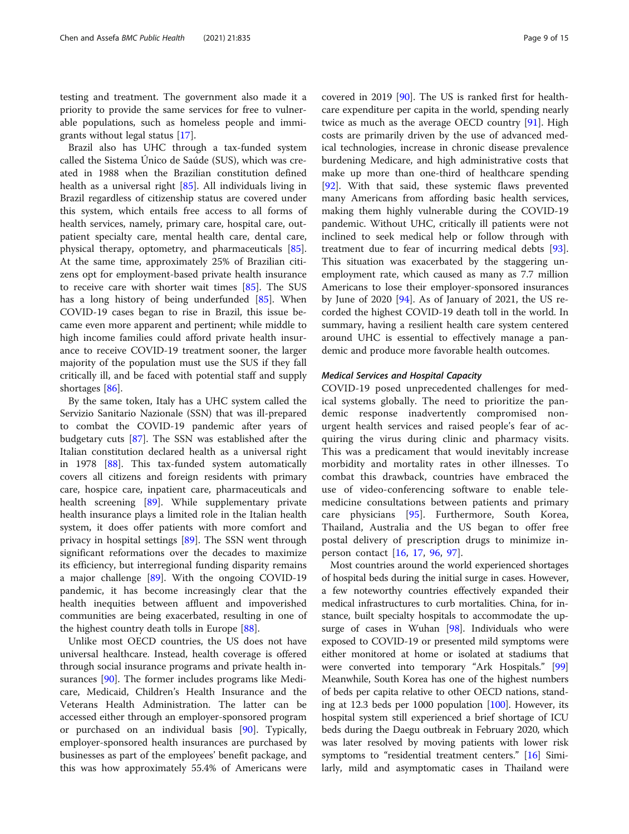testing and treatment. The government also made it a priority to provide the same services for free to vulnerable populations, such as homeless people and immigrants without legal status [[17](#page-11-0)].

Brazil also has UHC through a tax-funded system called the Sistema Único de Saúde (SUS), which was created in 1988 when the Brazilian constitution defined health as a universal right [\[85](#page-13-0)]. All individuals living in Brazil regardless of citizenship status are covered under this system, which entails free access to all forms of health services, namely, primary care, hospital care, outpatient specialty care, mental health care, dental care, physical therapy, optometry, and pharmaceuticals [\[85](#page-13-0)]. At the same time, approximately 25% of Brazilian citizens opt for employment-based private health insurance to receive care with shorter wait times [\[85](#page-13-0)]. The SUS has a long history of being underfunded [[85\]](#page-13-0). When COVID-19 cases began to rise in Brazil, this issue became even more apparent and pertinent; while middle to high income families could afford private health insurance to receive COVID-19 treatment sooner, the larger majority of the population must use the SUS if they fall critically ill, and be faced with potential staff and supply shortages [\[86\]](#page-13-0).

By the same token, Italy has a UHC system called the Servizio Sanitario Nazionale (SSN) that was ill-prepared to combat the COVID-19 pandemic after years of budgetary cuts [\[87](#page-13-0)]. The SSN was established after the Italian constitution declared health as a universal right in 1978 [[88\]](#page-13-0). This tax-funded system automatically covers all citizens and foreign residents with primary care, hospice care, inpatient care, pharmaceuticals and health screening [\[89](#page-13-0)]. While supplementary private health insurance plays a limited role in the Italian health system, it does offer patients with more comfort and privacy in hospital settings [[89](#page-13-0)]. The SSN went through significant reformations over the decades to maximize its efficiency, but interregional funding disparity remains a major challenge  $[89]$  $[89]$ . With the ongoing COVID-19 pandemic, it has become increasingly clear that the health inequities between affluent and impoverished communities are being exacerbated, resulting in one of the highest country death tolls in Europe [[88\]](#page-13-0).

Unlike most OECD countries, the US does not have universal healthcare. Instead, health coverage is offered through social insurance programs and private health insurances [[90](#page-13-0)]. The former includes programs like Medicare, Medicaid, Children's Health Insurance and the Veterans Health Administration. The latter can be accessed either through an employer-sponsored program or purchased on an individual basis [[90\]](#page-13-0). Typically, employer-sponsored health insurances are purchased by businesses as part of the employees' benefit package, and this was how approximately 55.4% of Americans were covered in 2019 [\[90](#page-13-0)]. The US is ranked first for healthcare expenditure per capita in the world, spending nearly twice as much as the average OECD country [[91](#page-13-0)]. High costs are primarily driven by the use of advanced medical technologies, increase in chronic disease prevalence burdening Medicare, and high administrative costs that make up more than one-third of healthcare spending [[92\]](#page-13-0). With that said, these systemic flaws prevented many Americans from affording basic health services, making them highly vulnerable during the COVID-19 pandemic. Without UHC, critically ill patients were not inclined to seek medical help or follow through with treatment due to fear of incurring medical debts [\[93](#page-13-0)]. This situation was exacerbated by the staggering unemployment rate, which caused as many as 7.7 million Americans to lose their employer-sponsored insurances by June of 2020  $[94]$ . As of January of 2021, the US recorded the highest COVID-19 death toll in the world. In summary, having a resilient health care system centered around UHC is essential to effectively manage a pandemic and produce more favorable health outcomes.

#### Medical Services and Hospital Capacity

COVID-19 posed unprecedented challenges for medical systems globally. The need to prioritize the pandemic response inadvertently compromised nonurgent health services and raised people's fear of acquiring the virus during clinic and pharmacy visits. This was a predicament that would inevitably increase morbidity and mortality rates in other illnesses. To combat this drawback, countries have embraced the use of video-conferencing software to enable telemedicine consultations between patients and primary care physicians [\[95](#page-13-0)]. Furthermore, South Korea, Thailand, Australia and the US began to offer free postal delivery of prescription drugs to minimize inperson contact [[16,](#page-11-0) [17,](#page-11-0) [96,](#page-13-0) [97](#page-13-0)].

Most countries around the world experienced shortages of hospital beds during the initial surge in cases. However, a few noteworthy countries effectively expanded their medical infrastructures to curb mortalities. China, for instance, built specialty hospitals to accommodate the up-surge of cases in Wuhan [[98](#page-13-0)]. Individuals who were exposed to COVID-19 or presented mild symptoms were either monitored at home or isolated at stadiums that were converted into temporary "Ark Hospitals." [[99](#page-13-0)] Meanwhile, South Korea has one of the highest numbers of beds per capita relative to other OECD nations, standing at 12.3 beds per 1000 population [\[100\]](#page-13-0). However, its hospital system still experienced a brief shortage of ICU beds during the Daegu outbreak in February 2020, which was later resolved by moving patients with lower risk symptoms to "residential treatment centers." [\[16](#page-11-0)] Similarly, mild and asymptomatic cases in Thailand were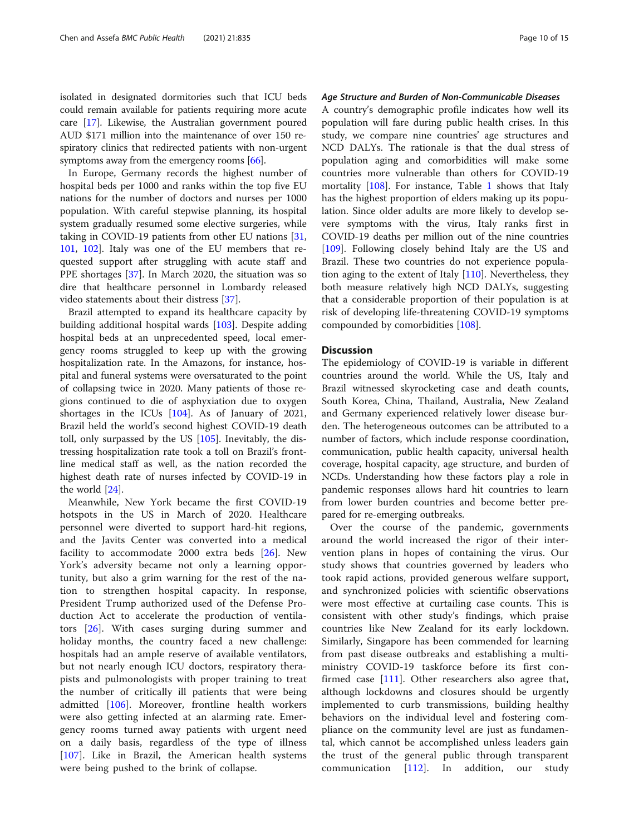isolated in designated dormitories such that ICU beds could remain available for patients requiring more acute care [[17](#page-11-0)]. Likewise, the Australian government poured AUD \$171 million into the maintenance of over 150 respiratory clinics that redirected patients with non-urgent symptoms away from the emergency rooms  $[66]$ .

In Europe, Germany records the highest number of hospital beds per 1000 and ranks within the top five EU nations for the number of doctors and nurses per 1000 population. With careful stepwise planning, its hospital system gradually resumed some elective surgeries, while taking in COVID-19 patients from other EU nations [[31](#page-11-0), [101](#page-13-0), [102](#page-13-0)]. Italy was one of the EU members that requested support after struggling with acute staff and PPE shortages [[37](#page-12-0)]. In March 2020, the situation was so dire that healthcare personnel in Lombardy released video statements about their distress [[37\]](#page-12-0).

Brazil attempted to expand its healthcare capacity by building additional hospital wards [[103\]](#page-13-0). Despite adding hospital beds at an unprecedented speed, local emergency rooms struggled to keep up with the growing hospitalization rate. In the Amazons, for instance, hospital and funeral systems were oversaturated to the point of collapsing twice in 2020. Many patients of those regions continued to die of asphyxiation due to oxygen shortages in the ICUs [[104\]](#page-13-0). As of January of 2021, Brazil held the world's second highest COVID-19 death toll, only surpassed by the US [\[105](#page-13-0)]. Inevitably, the distressing hospitalization rate took a toll on Brazil's frontline medical staff as well, as the nation recorded the highest death rate of nurses infected by COVID-19 in the world [\[24\]](#page-11-0).

Meanwhile, New York became the first COVID-19 hotspots in the US in March of 2020. Healthcare personnel were diverted to support hard-hit regions, and the Javits Center was converted into a medical facility to accommodate 2000 extra beds [[26](#page-11-0)]. New York's adversity became not only a learning opportunity, but also a grim warning for the rest of the nation to strengthen hospital capacity. In response, President Trump authorized used of the Defense Production Act to accelerate the production of ventilators [[26](#page-11-0)]. With cases surging during summer and holiday months, the country faced a new challenge: hospitals had an ample reserve of available ventilators, but not nearly enough ICU doctors, respiratory therapists and pulmonologists with proper training to treat the number of critically ill patients that were being admitted [[106](#page-13-0)]. Moreover, frontline health workers were also getting infected at an alarming rate. Emergency rooms turned away patients with urgent need on a daily basis, regardless of the type of illness [[107\]](#page-13-0). Like in Brazil, the American health systems were being pushed to the brink of collapse.

#### Age Structure and Burden of Non-Communicable Diseases

A country's demographic profile indicates how well its population will fare during public health crises. In this study, we compare nine countries' age structures and NCD DALYs. The rationale is that the dual stress of population aging and comorbidities will make some countries more vulnerable than others for COVID-19 mortality [[108](#page-13-0)]. For instance, Table [1](#page-3-0) shows that Italy has the highest proportion of elders making up its population. Since older adults are more likely to develop severe symptoms with the virus, Italy ranks first in COVID-19 deaths per million out of the nine countries [[109\]](#page-13-0). Following closely behind Italy are the US and Brazil. These two countries do not experience population aging to the extent of Italy [[110\]](#page-13-0). Nevertheless, they both measure relatively high NCD DALYs, suggesting that a considerable proportion of their population is at risk of developing life-threatening COVID-19 symptoms compounded by comorbidities [[108](#page-13-0)].

#### **Discussion**

The epidemiology of COVID-19 is variable in different countries around the world. While the US, Italy and Brazil witnessed skyrocketing case and death counts, South Korea, China, Thailand, Australia, New Zealand and Germany experienced relatively lower disease burden. The heterogeneous outcomes can be attributed to a number of factors, which include response coordination, communication, public health capacity, universal health coverage, hospital capacity, age structure, and burden of NCDs. Understanding how these factors play a role in pandemic responses allows hard hit countries to learn from lower burden countries and become better prepared for re-emerging outbreaks.

Over the course of the pandemic, governments around the world increased the rigor of their intervention plans in hopes of containing the virus. Our study shows that countries governed by leaders who took rapid actions, provided generous welfare support, and synchronized policies with scientific observations were most effective at curtailing case counts. This is consistent with other study's findings, which praise countries like New Zealand for its early lockdown. Similarly, Singapore has been commended for learning from past disease outbreaks and establishing a multiministry COVID-19 taskforce before its first confirmed case [\[111](#page-13-0)]. Other researchers also agree that, although lockdowns and closures should be urgently implemented to curb transmissions, building healthy behaviors on the individual level and fostering compliance on the community level are just as fundamental, which cannot be accomplished unless leaders gain the trust of the general public through transparent communication [[112\]](#page-13-0). In addition, our study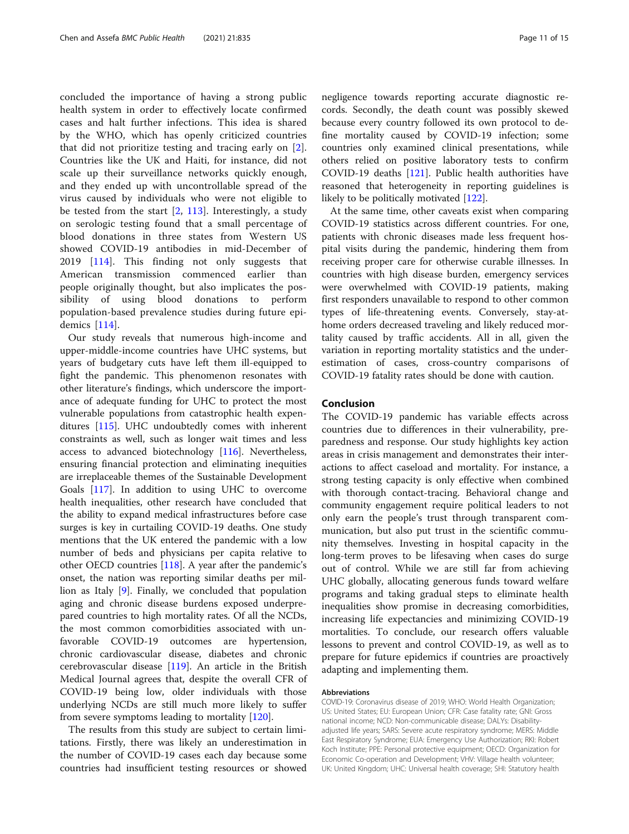concluded the importance of having a strong public health system in order to effectively locate confirmed cases and halt further infections. This idea is shared by the WHO, which has openly criticized countries that did not prioritize testing and tracing early on [\[2](#page-11-0)]. Countries like the UK and Haiti, for instance, did not scale up their surveillance networks quickly enough, and they ended up with uncontrollable spread of the virus caused by individuals who were not eligible to be tested from the start [[2,](#page-11-0) [113](#page-13-0)]. Interestingly, a study on serologic testing found that a small percentage of blood donations in three states from Western US showed COVID-19 antibodies in mid-December of 2019 [\[114](#page-13-0)]. This finding not only suggests that American transmission commenced earlier than people originally thought, but also implicates the possibility of using blood donations to perform population-based prevalence studies during future epidemics [[114\]](#page-13-0).

Our study reveals that numerous high-income and upper-middle-income countries have UHC systems, but years of budgetary cuts have left them ill-equipped to fight the pandemic. This phenomenon resonates with other literature's findings, which underscore the importance of adequate funding for UHC to protect the most vulnerable populations from catastrophic health expenditures [\[115\]](#page-13-0). UHC undoubtedly comes with inherent constraints as well, such as longer wait times and less access to advanced biotechnology [[116\]](#page-13-0). Nevertheless, ensuring financial protection and eliminating inequities are irreplaceable themes of the Sustainable Development Goals [[117](#page-13-0)]. In addition to using UHC to overcome health inequalities, other research have concluded that the ability to expand medical infrastructures before case surges is key in curtailing COVID-19 deaths. One study mentions that the UK entered the pandemic with a low number of beds and physicians per capita relative to other OECD countries [\[118\]](#page-14-0). A year after the pandemic's onset, the nation was reporting similar deaths per million as Italy [\[9](#page-11-0)]. Finally, we concluded that population aging and chronic disease burdens exposed underprepared countries to high mortality rates. Of all the NCDs, the most common comorbidities associated with unfavorable COVID-19 outcomes are hypertension, chronic cardiovascular disease, diabetes and chronic cerebrovascular disease [[119](#page-14-0)]. An article in the British Medical Journal agrees that, despite the overall CFR of COVID-19 being low, older individuals with those underlying NCDs are still much more likely to suffer from severe symptoms leading to mortality [\[120\]](#page-14-0).

The results from this study are subject to certain limitations. Firstly, there was likely an underestimation in the number of COVID-19 cases each day because some countries had insufficient testing resources or showed negligence towards reporting accurate diagnostic records. Secondly, the death count was possibly skewed because every country followed its own protocol to define mortality caused by COVID-19 infection; some countries only examined clinical presentations, while others relied on positive laboratory tests to confirm COVID-19 deaths [[121\]](#page-14-0). Public health authorities have reasoned that heterogeneity in reporting guidelines is likely to be politically motivated [[122\]](#page-14-0).

At the same time, other caveats exist when comparing COVID-19 statistics across different countries. For one, patients with chronic diseases made less frequent hospital visits during the pandemic, hindering them from receiving proper care for otherwise curable illnesses. In countries with high disease burden, emergency services were overwhelmed with COVID-19 patients, making first responders unavailable to respond to other common types of life-threatening events. Conversely, stay-athome orders decreased traveling and likely reduced mortality caused by traffic accidents. All in all, given the variation in reporting mortality statistics and the underestimation of cases, cross-country comparisons of COVID-19 fatality rates should be done with caution.

#### Conclusion

The COVID-19 pandemic has variable effects across countries due to differences in their vulnerability, preparedness and response. Our study highlights key action areas in crisis management and demonstrates their interactions to affect caseload and mortality. For instance, a strong testing capacity is only effective when combined with thorough contact-tracing. Behavioral change and community engagement require political leaders to not only earn the people's trust through transparent communication, but also put trust in the scientific community themselves. Investing in hospital capacity in the long-term proves to be lifesaving when cases do surge out of control. While we are still far from achieving UHC globally, allocating generous funds toward welfare programs and taking gradual steps to eliminate health inequalities show promise in decreasing comorbidities, increasing life expectancies and minimizing COVID-19 mortalities. To conclude, our research offers valuable lessons to prevent and control COVID-19, as well as to prepare for future epidemics if countries are proactively adapting and implementing them.

#### Abbreviations

COVID-19: Coronavirus disease of 2019; WHO: World Health Organization; US: United States; EU: European Union; CFR: Case fatality rate; GNI: Gross national income; NCD: Non-communicable disease; DALYs: Disabilityadjusted life years; SARS: Severe acute respiratory syndrome; MERS: Middle East Respiratory Syndrome; EUA: Emergency Use Authorization; RKI: Robert Koch Institute; PPE: Personal protective equipment; OECD: Organization for Economic Co-operation and Development; VHV: Village health volunteer; UK: United Kingdom; UHC: Universal health coverage; SHI: Statutory health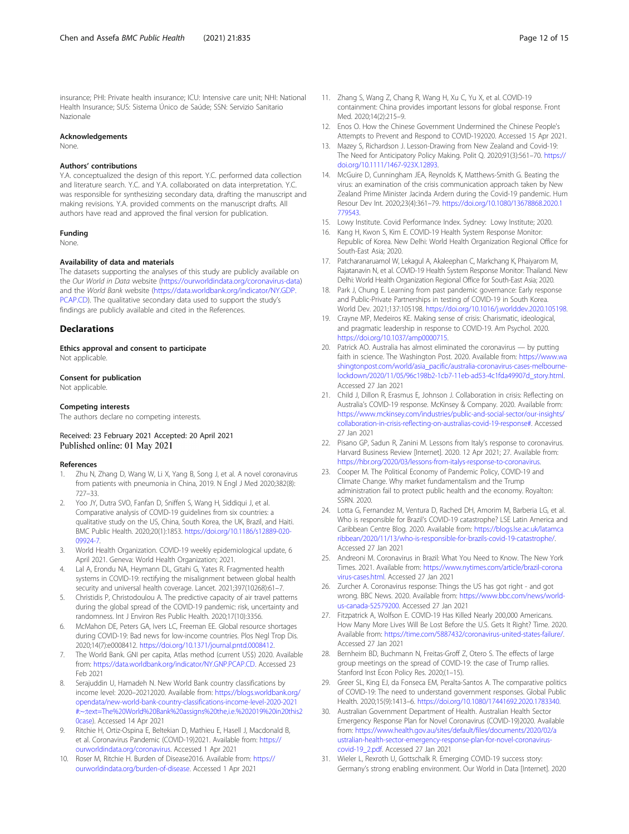<span id="page-11-0"></span>insurance; PHI: Private health insurance; ICU: Intensive care unit; NHI: National Health Insurance; SUS: Sistema Único de Saúde; SSN: Servizio Sanitario Nazionale

#### Acknowledgements

None.

#### Authors' contributions

Y.A. conceptualized the design of this report. Y.C. performed data collection and literature search. Y.C. and Y.A. collaborated on data interpretation. Y.C. was responsible for synthesizing secondary data, drafting the manuscript and making revisions. Y.A. provided comments on the manuscript drafts. All authors have read and approved the final version for publication.

#### Funding

None.

#### Availability of data and materials

The datasets supporting the analyses of this study are publicly available on the Our World in Data website (<https://ourworldindata.org/coronavirus-data>) and the World Bank website ([https://data.worldbank.org/indicator/NY.GDP.](https://data.worldbank.org/indicator/NY.GDP.PCAP.CD) [PCAP.CD](https://data.worldbank.org/indicator/NY.GDP.PCAP.CD)). The qualitative secondary data used to support the study's findings are publicly available and cited in the References.

#### **Declarations**

Ethics approval and consent to participate Not applicable.

#### Consent for publication

Not applicable.

#### Competing interests

The authors declare no competing interests.

#### Received: 23 February 2021 Accepted: 20 April 2021 Published online: 01 May 2021

#### References

- 1. Zhu N, Zhang D, Wang W, Li X, Yang B, Song J, et al. A novel coronavirus from patients with pneumonia in China, 2019. N Engl J Med 2020;382(8): 727–33.
- 2. Yoo JY, Dutra SVO, Fanfan D, Sniffen S, Wang H, Siddiqui J, et al. Comparative analysis of COVID-19 guidelines from six countries: a qualitative study on the US, China, South Korea, the UK, Brazil, and Haiti. BMC Public Health. 2020;20(1):1853. [https://doi.org/10.1186/s12889-020-](https://doi.org/10.1186/s12889-020-09924-7) [09924-7](https://doi.org/10.1186/s12889-020-09924-7).
- 3. World Health Organization. COVID-19 weekly epidemiological update, 6 April 2021. Geneva: World Health Organization; 2021.
- 4. Lal A, Erondu NA, Heymann DL, Gitahi G, Yates R. Fragmented health systems in COVID-19: rectifying the misalignment between global health security and universal health coverage. Lancet. 2021;397(10268):61–7.
- 5. Christidis P, Christodoulou A. The predictive capacity of air travel patterns during the global spread of the COVID-19 pandemic: risk, uncertainty and randomness. Int J Environ Res Public Health. 2020;17(10):3356.
- 6. McMahon DE, Peters GA, Ivers LC, Freeman EE. Global resource shortages during COVID-19: Bad news for low-income countries. Plos Negl Trop Dis. 2020;14(7):e0008412. [https://doi.org/10.1371/journal.pntd.0008412.](https://doi.org/10.1371/journal.pntd.0008412)
- The World Bank. GNI per capita, Atlas method (current US\$) 2020. Available from: [https://data.worldbank.org/indicator/NY.GNP.PCAP.CD.](https://data.worldbank.org/indicator/NY.GNP.PCAP.CD) Accessed 23 Feb 2021
- Serajuddin U, Hamadeh N. New World Bank country classifications by income level: 2020–20212020. Available from: [https://blogs.worldbank.org/](https://blogs.worldbank.org/opendata/new-world-bank-country-classifications-income-level-2020-2021#:~:text=The%20World%20Bank%20assigns%20the,i.e.%202019%20in20this20case) [opendata/new-world-bank-country-classifications-income-level-2020-2021](https://blogs.worldbank.org/opendata/new-world-bank-country-classifications-income-level-2020-2021#:~:text=The%20World%20Bank%20assigns%20the,i.e.%202019%20in20this20case) [#:~:text=The%20World%20Bank%20assigns%20the,i.e.%202019%20in20this2](https://blogs.worldbank.org/opendata/new-world-bank-country-classifications-income-level-2020-2021#:~:text=The%20World%20Bank%20assigns%20the,i.e.%202019%20in20this20case) [0case](https://blogs.worldbank.org/opendata/new-world-bank-country-classifications-income-level-2020-2021#:~:text=The%20World%20Bank%20assigns%20the,i.e.%202019%20in20this20case)). Accessed 14 Apr 2021
- 9. Ritchie H, Ortiz-Ospina E, Beltekian D, Mathieu E, Hasell J, Macdonald B, et al. Coronavirus Pandemic (COVID-19)2021. Available from: [https://](https://ourworldindata.org/coronavirus) [ourworldindata.org/coronavirus](https://ourworldindata.org/coronavirus). Accessed 1 Apr 2021
- 10. Roser M, Ritchie H. Burden of Disease2016. Available from: [https://](https://ourworldindata.org/burden-of-disease) [ourworldindata.org/burden-of-disease.](https://ourworldindata.org/burden-of-disease) Accessed 1 Apr 2021
- 11. Zhang S, Wang Z, Chang R, Wang H, Xu C, Yu X, et al. COVID-19 containment: China provides important lessons for global response. Front Med. 2020;14(2):215–9.
- 12. Enos O. How the Chinese Government Undermined the Chinese People's Attempts to Prevent and Respond to COVID-192020. Accessed 15 Apr 2021.
- 13. Mazey S, Richardson J. Lesson-Drawing from New Zealand and Covid-19: The Need for Anticipatory Policy Making. Polit Q. 2020;91(3):561–70. [https://](https://doi.org/10.1111/1467-923X.12893) [doi.org/10.1111/1467-923X.12893](https://doi.org/10.1111/1467-923X.12893).
- 14. McGuire D, Cunningham JEA, Reynolds K, Matthews-Smith G. Beating the virus: an examination of the crisis communication approach taken by New Zealand Prime Minister Jacinda Ardern during the Covid-19 pandemic. Hum Resour Dev Int. 2020;23(4):361–79. [https://doi.org/10.1080/13678868.2020.1](https://doi.org/10.1080/13678868.2020.1779543) [779543](https://doi.org/10.1080/13678868.2020.1779543).
- 15. Lowy Institute. Covid Performance Index. Sydney: Lowy Institute; 2020.
- 16. Kang H, Kwon S, Kim E. COVID-19 Health System Response Monitor: Republic of Korea. New Delhi: World Health Organization Regional Office for South-East Asia; 2020.
- 17. Patcharanaruamol W, Lekagul A, Akaleephan C, Markchang K, Phaiyarom M, Rajatanavin N, et al. COVID-19 Health System Response Monitor: Thailand. New Delhi: World Health Organization Regional Office for South-East Asia; 2020.
- 18. Park J, Chung E. Learning from past pandemic governance: Early response and Public-Private Partnerships in testing of COVID-19 in South Korea. World Dev. 2021;137:105198. [https://doi.org/10.1016/j.worlddev.2020.105198.](https://doi.org/10.1016/j.worlddev.2020.105198)
- 19. Crayne MP, Medeiros KE. Making sense of crisis: Charismatic, ideological, and pragmatic leadership in response to COVID-19. Am Psychol. 2020. [https://doi.org/10.1037/amp0000715.](https://doi.org/10.1037/amp0000715)
- 20. Patrick AO. Australia has almost eliminated the coronavirus by putting faith in science. The Washington Post. 2020. Available from: [https://www.wa](https://www.washingtonpost.com/world/asia_pacific/australia-coronavirus-cases-melbourne-lockdown/2020/11/05/96c198b2-1cb7-11eb-ad53-4c1fda49907d_story.html) [shingtonpost.com/world/asia\\_pacific/australia-coronavirus-cases-melbourne](https://www.washingtonpost.com/world/asia_pacific/australia-coronavirus-cases-melbourne-lockdown/2020/11/05/96c198b2-1cb7-11eb-ad53-4c1fda49907d_story.html)[lockdown/2020/11/05/96c198b2-1cb7-11eb-ad53-4c1fda49907d\\_story.html.](https://www.washingtonpost.com/world/asia_pacific/australia-coronavirus-cases-melbourne-lockdown/2020/11/05/96c198b2-1cb7-11eb-ad53-4c1fda49907d_story.html) Accessed 27 Jan 2021
- 21. Child J, Dillon R, Erasmus E, Johnson J. Collaboration in crisis: Reflecting on Australia's COVID-19 response. McKinsey & Company. 2020. Available from: [https://www.mckinsey.com/industries/public-and-social-sector/our-insights/](https://www.mckinsey.com/industries/public-and-social-sector/our-insights/collaboration-in-crisis-reflecting-on-australias-covid-19-response) [collaboration-in-crisis-reflecting-on-australias-covid-19-response#](https://www.mckinsey.com/industries/public-and-social-sector/our-insights/collaboration-in-crisis-reflecting-on-australias-covid-19-response). Accessed 27 Jan 2021
- 22. Pisano GP, Sadun R, Zanini M. Lessons from Italy's response to coronavirus. Harvard Business Review [Internet]. 2020. 12 Apr 2021; 27. Available from: <https://hbr.org/2020/03/lessons-from-italys-response-to-coronavirus>.
- 23. Cooper M. The Political Economy of Pandemic Policy, COVID-19 and Climate Change. Why market fundamentalism and the Trump administration fail to protect public health and the economy. Royalton: SSRN. 2020.
- 24. Lotta G, Fernandez M, Ventura D, Rached DH, Amorim M, Barberia LG, et al. Who is responsible for Brazil's COVID-19 catastrophe? LSE Latin America and Caribbean Centre Blog. 2020. Available from: [https://blogs.lse.ac.uk/latamca](https://blogs.lse.ac.uk/latamcaribbean/2020/11/13/who-is-responsible-for-brazils-covid-19-catastrophe/) [ribbean/2020/11/13/who-is-responsible-for-brazils-covid-19-catastrophe/](https://blogs.lse.ac.uk/latamcaribbean/2020/11/13/who-is-responsible-for-brazils-covid-19-catastrophe/). Accessed 27 Jan 2021
- 25. Andreoni M. Coronavirus in Brazil: What You Need to Know. The New York Times. 2021. Available from: [https://www.nytimes.com/article/brazil-corona](https://www.nytimes.com/article/brazil-coronavirus-cases.html) [virus-cases.html](https://www.nytimes.com/article/brazil-coronavirus-cases.html). Accessed 27 Jan 2021
- 26. Zurcher A. Coronavirus response: Things the US has got right and got wrong. BBC News. 2020. Available from: [https://www.bbc.com/news/world](https://www.bbc.com/news/world-us-canada-52579200)[us-canada-52579200.](https://www.bbc.com/news/world-us-canada-52579200) Accessed 27 Jan 2021
- 27. Fitzpatrick A, Wolfson E. COVID-19 Has Killed Nearly 200,000 Americans. How Many More Lives Will Be Lost Before the U.S. Gets It Right? Time. 2020. Available from: <https://time.com/5887432/coronavirus-united-states-failure/>. Accessed 27 Jan 2021
- 28. Bernheim BD, Buchmann N, Freitas-Groff Z, Otero S. The effects of large group meetings on the spread of COVID-19: the case of Trump rallies. Stanford Inst Econ Policy Res. 2020;(1-15).
- 29. Greer SL, King EJ, da Fonseca EM, Peralta-Santos A. The comparative politics of COVID-19: The need to understand government responses. Global Public Health. 2020;15(9):1413–6. [https://doi.org/10.1080/17441692.2020.1783340.](https://doi.org/10.1080/17441692.2020.1783340)
- 30. Australian Government Department of Health. Australian Health Sector Emergency Response Plan for Novel Coronavirus (COVID-19)2020. Available from: [https://www.health.gov.au/sites/default/files/documents/2020/02/a](https://www.health.gov.au/sites/default/files/documents/2020/02/australian-health-sector-emergency-response-plan-for-novel-coronavirus-covid-19_2.pdf) [ustralian-health-sector-emergency-response-plan-for-novel-coronavirus](https://www.health.gov.au/sites/default/files/documents/2020/02/australian-health-sector-emergency-response-plan-for-novel-coronavirus-covid-19_2.pdf)[covid-19\\_2.pdf.](https://www.health.gov.au/sites/default/files/documents/2020/02/australian-health-sector-emergency-response-plan-for-novel-coronavirus-covid-19_2.pdf) Accessed 27 Jan 2021
- 31. Wieler L, Rexroth U, Gottschalk R. Emerging COVID-19 success story: Germany's strong enabling environment. Our World in Data [Internet]. 2020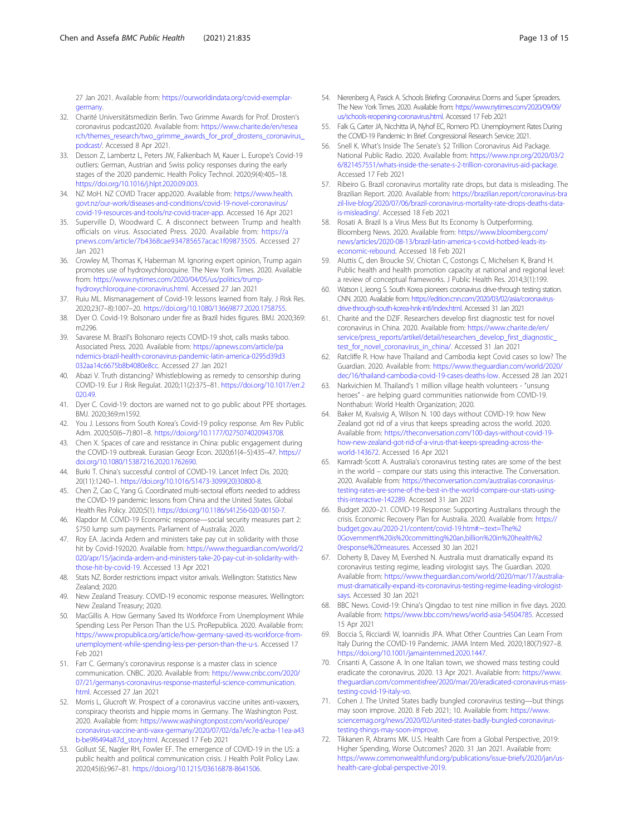<span id="page-12-0"></span>27 Jan 2021. Available from: [https://ourworldindata.org/covid-exemplar](https://ourworldindata.org/covid-exemplar-germany)[germany.](https://ourworldindata.org/covid-exemplar-germany)

- 32. Charité Universitätsmedizin Berlin. Two Grimme Awards for Prof. Drosten's coronavirus podcast2020. Available from: [https://www.charite.de/en/resea](https://www.charite.de/en/research/themes_research/two_grimme_awards_for_prof_drostens_coronavirus_podcast/) [rch/themes\\_research/two\\_grimme\\_awards\\_for\\_prof\\_drostens\\_coronavirus\\_](https://www.charite.de/en/research/themes_research/two_grimme_awards_for_prof_drostens_coronavirus_podcast/) [podcast/.](https://www.charite.de/en/research/themes_research/two_grimme_awards_for_prof_drostens_coronavirus_podcast/) Accessed 8 Apr 2021.
- 33. Desson Z, Lambertz L, Peters JW, Falkenbach M, Kauer L. Europe's Covid-19 outliers: German, Austrian and Swiss policy responses during the early stages of the 2020 pandemic. Health Policy Technol. 2020;9(4):405–18. <https://doi.org/10.1016/j.hlpt.2020.09.003>.
- 34. NZ MoH. NZ COVID Tracer app2020. Available from: [https://www.health.](https://www.health.govt.nz/our-work/diseases-and-conditions/covid-19-novel-coronavirus/covid-19-resources-and-tools/nz-covid-tracer-app) [govt.nz/our-work/diseases-and-conditions/covid-19-novel-coronavirus/](https://www.health.govt.nz/our-work/diseases-and-conditions/covid-19-novel-coronavirus/covid-19-resources-and-tools/nz-covid-tracer-app) [covid-19-resources-and-tools/nz-covid-tracer-app](https://www.health.govt.nz/our-work/diseases-and-conditions/covid-19-novel-coronavirus/covid-19-resources-and-tools/nz-covid-tracer-app). Accessed 16 Apr 2021
- 35. Superville D, Woodward C. A disconnect between Trump and health officials on virus. Associated Press. 2020. Available from: [https://a](https://apnews.com/article/7b4368cae934785657acac1f09873505) [pnews.com/article/7b4368cae934785657acac1f09873505](https://apnews.com/article/7b4368cae934785657acac1f09873505). Accessed 27 Jan 2021
- 36. Crowley M, Thomas K, Haberman M. Ignoring expert opinion, Trump again promotes use of hydroxychloroquine. The New York Times. 2020. Available from: [https://www.nytimes.com/2020/04/05/us/politics/trump](https://www.nytimes.com/2020/04/05/us/politics/trump-hydroxychloroquine-coronavirus.html)[hydroxychloroquine-coronavirus.html](https://www.nytimes.com/2020/04/05/us/politics/trump-hydroxychloroquine-coronavirus.html). Accessed 27 Jan 2021
- 37. Ruiu ML. Mismanagement of Covid-19: lessons learned from Italy. J Risk Res. 2020;23(7–8):1007–20. <https://doi.org/10.1080/13669877.2020.1758755>.
- 38. Dyer O. Covid-19: Bolsonaro under fire as Brazil hides figures. BMJ. 2020;369: m2296.
- 39. Savarese M. Brazil's Bolsonaro rejects COVID-19 shot, calls masks taboo. Associated Press. 2020. Available from: [https://apnews.com/article/pa](https://apnews.com/article/pandemics-brazil-health-coronavirus-pandemic-latin-america-0295d39d3032aa14c6675b8b4080e8cc) [ndemics-brazil-health-coronavirus-pandemic-latin-america-0295d39d3](https://apnews.com/article/pandemics-brazil-health-coronavirus-pandemic-latin-america-0295d39d3032aa14c6675b8b4080e8cc) [032aa14c6675b8b4080e8cc.](https://apnews.com/article/pandemics-brazil-health-coronavirus-pandemic-latin-america-0295d39d3032aa14c6675b8b4080e8cc) Accessed 27 Jan 2021
- 40. Abazi V. Truth distancing? Whistleblowing as remedy to censorship during COVID-19. Eur J Risk Regulat. 2020;11(2):375–81. [https://doi.org/10.1017/err.2](https://doi.org/10.1017/err.2020.49) [020.49.](https://doi.org/10.1017/err.2020.49)
- 41. Dyer C. Covid-19: doctors are warned not to go public about PPE shortages. BMJ. 2020;369:m1592.
- 42. You J. Lessons from South Korea's Covid-19 policy response. Am Rev Public Adm. 2020;50(6–7):801–8. <https://doi.org/10.1177/0275074020943708>.
- 43. Chen X. Spaces of care and resistance in China: public engagement during the COVID-19 outbreak. Eurasian Geogr Econ. 2020;61(4–5):435–47. [https://](https://doi.org/10.1080/15387216.2020.1762690) [doi.org/10.1080/15387216.2020.1762690](https://doi.org/10.1080/15387216.2020.1762690).
- 44. Burki T. China's successful control of COVID-19. Lancet Infect Dis. 2020; 20(11):1240–1. [https://doi.org/10.1016/S1473-3099\(20\)30800-8](https://doi.org/10.1016/S1473-3099(20)30800-8).
- 45. Chen Z, Cao C, Yang G. Coordinated multi-sectoral efforts needed to address the COVID-19 pandemic: lessons from China and the United States. Global Health Res Policy. 2020;5(1). <https://doi.org/10.1186/s41256-020-00150-7>.
- 46. Klapdor M. COVID-19 Economic response—social security measures part 2: \$750 lump sum payments. Parliament of Australia; 2020.
- 47. Roy EA. Jacinda Ardern and ministers take pay cut in solidarity with those hit by Covid-192020. Available from: [https://www.theguardian.com/world/2](https://www.theguardian.com/world/2020/apr/15/jacinda-ardern-and-ministers-take-20-pay-cut-in-solidarity-with-those-hit-by-covid-19) [020/apr/15/jacinda-ardern-and-ministers-take-20-pay-cut-in-solidarity-with](https://www.theguardian.com/world/2020/apr/15/jacinda-ardern-and-ministers-take-20-pay-cut-in-solidarity-with-those-hit-by-covid-19)[those-hit-by-covid-19](https://www.theguardian.com/world/2020/apr/15/jacinda-ardern-and-ministers-take-20-pay-cut-in-solidarity-with-those-hit-by-covid-19). Accessed 13 Apr 2021
- 48. Stats NZ. Border restrictions impact visitor arrivals. Wellington: Statistics New Zealand; 2020.
- 49. New Zealand Treasury. COVID-19 economic response measures. Wellington: New Zealand Treasury; 2020.
- 50. MacGillis A. How Germany Saved Its Workforce From Unemployment While Spending Less Per Person Than the U.S. ProRepublica. 2020. Available from: [https://www.propublica.org/article/how-germany-saved-its-workforce-from](https://www.propublica.org/article/how-germany-saved-its-workforce-from-unemployment-while-spending-less-per-person-than-the-u-s)[unemployment-while-spending-less-per-person-than-the-u-s.](https://www.propublica.org/article/how-germany-saved-its-workforce-from-unemployment-while-spending-less-per-person-than-the-u-s) Accessed 17 Feb 2021
- 51. Farr C. Germany's coronavirus response is a master class in science communication. CNBC. 2020. Available from: [https://www.cnbc.com/2020/](https://www.cnbc.com/2020/07/21/germanys-coronavirus-response-masterful-science-communication.html) [07/21/germanys-coronavirus-response-masterful-science-communication.](https://www.cnbc.com/2020/07/21/germanys-coronavirus-response-masterful-science-communication.html) [html.](https://www.cnbc.com/2020/07/21/germanys-coronavirus-response-masterful-science-communication.html) Accessed 27 Jan 2021
- 52. Morris L, Glucroft W. Prospect of a coronavirus vaccine unites anti-vaxxers, conspiracy theorists and hippie moms in Germany. The Washington Post. 2020. Available from: [https://www.washingtonpost.com/world/europe/](https://www.washingtonpost.com/world/europe/coronavirus-vaccine-anti-vaxx-germany/2020/07/02/da7efc7e-acba-11ea-a43b-be9f6494a87d_story.html) [coronavirus-vaccine-anti-vaxx-germany/2020/07/02/da7efc7e-acba-11ea-a43](https://www.washingtonpost.com/world/europe/coronavirus-vaccine-anti-vaxx-germany/2020/07/02/da7efc7e-acba-11ea-a43b-be9f6494a87d_story.html) [b-be9f6494a87d\\_story.html](https://www.washingtonpost.com/world/europe/coronavirus-vaccine-anti-vaxx-germany/2020/07/02/da7efc7e-acba-11ea-a43b-be9f6494a87d_story.html). Accessed 17 Feb 2021
- 53. Gollust SE, Nagler RH, Fowler EF. The emergence of COVID-19 in the US: a public health and political communication crisis. J Health Polit Policy Law. 2020;45(6):967–81. <https://doi.org/10.1215/03616878-8641506>.
- 54. Nierenberg A, Pasick A. Schools Briefing: Coronavirus Dorms and Super Spreaders. The New York Times. 2020. Available from: [https://www.nytimes.com/2020/09/09/](https://www.nytimes.com/2020/09/09/us/schools-reopening-coronavirus.html) [us/schools-reopening-coronavirus.html](https://www.nytimes.com/2020/09/09/us/schools-reopening-coronavirus.html). Accessed 17 Feb 2021
- 55. Falk G, Carter JA, Nicchitta IA, Nyhof EC, Romero PD. Unemployment Rates During the COVID-19 Pandemic: In Brief. Congressional Research Service; 2021.
- 56. Snell K. What's Inside The Senate's \$2 Trillion Coronavirus Aid Package. National Public Radio. 2020. Available from: [https://www.npr.org/2020/03/2](https://www.npr.org/2020/03/26/821457551/whats-inside-the-senate-s-2-trillion-coronavirus-aid-package) [6/821457551/whats-inside-the-senate-s-2-trillion-coronavirus-aid-package](https://www.npr.org/2020/03/26/821457551/whats-inside-the-senate-s-2-trillion-coronavirus-aid-package). Accessed 17 Feb 2021
- 57. Ribeiro G. Brazil coronavirus mortality rate drops, but data is misleading. The Brazilian Report. 2020. Available from: [https://brazilian.report/coronavirus-bra](https://brazilian.report/coronavirus-brazil-live-blog/2020/07/06/brazil-coronavirus-mortality-rate-drops-deaths-data-is-misleading/) [zil-live-blog/2020/07/06/brazil-coronavirus-mortality-rate-drops-deaths-data](https://brazilian.report/coronavirus-brazil-live-blog/2020/07/06/brazil-coronavirus-mortality-rate-drops-deaths-data-is-misleading/)[is-misleading/](https://brazilian.report/coronavirus-brazil-live-blog/2020/07/06/brazil-coronavirus-mortality-rate-drops-deaths-data-is-misleading/). Accessed 18 Feb 2021
- 58. Rosati A. Brazil Is a Virus Mess But Its Economy Is Outperforming. Bloomberg News. 2020. Available from: [https://www.bloomberg.com/](https://www.bloomberg.com/news/articles/2020-08-13/brazil-latin-america-s-covid-hotbed-leads-its-economic-rebound) [news/articles/2020-08-13/brazil-latin-america-s-covid-hotbed-leads-its](https://www.bloomberg.com/news/articles/2020-08-13/brazil-latin-america-s-covid-hotbed-leads-its-economic-rebound)[economic-rebound.](https://www.bloomberg.com/news/articles/2020-08-13/brazil-latin-america-s-covid-hotbed-leads-its-economic-rebound) Accessed 18 Feb 2021
- 59. Aluttis C, den Broucke SV, Chiotan C, Costongs C, Michelsen K, Brand H. Public health and health promotion capacity at national and regional level: a review of conceptual frameworks. J Public Health Res. 2014;3(1):199.
- 60. Watson I, Jeong S. South Korea pioneers coronavirus drive-through testing station. CNN. 2020. Available from: [https://edition.cnn.com/2020/03/02/asia/coronavirus](https://edition.cnn.com/2020/03/02/asia/coronavirus-drive-through-south-korea-hnk-intl/index.html)[drive-through-south-korea-hnk-intl/index.html](https://edition.cnn.com/2020/03/02/asia/coronavirus-drive-through-south-korea-hnk-intl/index.html). Accessed 31 Jan 2021
- 61. Charité and the DZIF. Researchers develop first diagnostic test for novel coronavirus in China. 2020. Available from: [https://www.charite.de/en/](https://www.charite.de/en/service/press_reports/artikel/detail/researchers_develop_first_diagnostic_test_for_novel_coronavirus_in_china/) [service/press\\_reports/artikel/detail/researchers\\_develop\\_first\\_diagnostic\\_](https://www.charite.de/en/service/press_reports/artikel/detail/researchers_develop_first_diagnostic_test_for_novel_coronavirus_in_china/) [test\\_for\\_novel\\_coronavirus\\_in\\_china/](https://www.charite.de/en/service/press_reports/artikel/detail/researchers_develop_first_diagnostic_test_for_novel_coronavirus_in_china/). Accessed 31 Jan 2021
- 62. Ratcliffe R. How have Thailand and Cambodia kept Covid cases so low? The Guardian. 2020. Available from: [https://www.theguardian.com/world/2020/](https://www.theguardian.com/world/2020/dec/16/thailand-cambodia-covid-19-cases-deaths-low) [dec/16/thailand-cambodia-covid-19-cases-deaths-low](https://www.theguardian.com/world/2020/dec/16/thailand-cambodia-covid-19-cases-deaths-low). Accessed 28 Jan 2021
- 63. Narkvichien M. Thailand's 1 million village health volunteers "unsung heroes" - are helping guard communities nationwide from COVID-19. Nonthaburi: World Health Organization; 2020.
- 64. Baker M, Kvalsvig A, Wilson N. 100 days without COVID-19: how New Zealand got rid of a virus that keeps spreading across the world. 2020. Available from: [https://theconversation.com/100-days-without-covid-19](https://theconversation.com/100-days-without-covid-19-how-new-zealand-got-rid-of-a-virus-that-keeps-spreading-across-the-world-143672) [how-new-zealand-got-rid-of-a-virus-that-keeps-spreading-across-the](https://theconversation.com/100-days-without-covid-19-how-new-zealand-got-rid-of-a-virus-that-keeps-spreading-across-the-world-143672)[world-143672.](https://theconversation.com/100-days-without-covid-19-how-new-zealand-got-rid-of-a-virus-that-keeps-spreading-across-the-world-143672) Accessed 16 Apr 2021
- 65. Kamradt-Scott A. Australia's coronavirus testing rates are some of the best in the world – compare our stats using this interactive. The Conversation. 2020. Available from: [https://theconversation.com/australias-coronavirus](https://theconversation.com/australias-coronavirus-testing-rates-are-some-of-the-best-in-the-world-compare-our-stats-using-this-interactive-142289)[testing-rates-are-some-of-the-best-in-the-world-compare-our-stats-using](https://theconversation.com/australias-coronavirus-testing-rates-are-some-of-the-best-in-the-world-compare-our-stats-using-this-interactive-142289)[this-interactive-142289.](https://theconversation.com/australias-coronavirus-testing-rates-are-some-of-the-best-in-the-world-compare-our-stats-using-this-interactive-142289) Accessed 31 Jan 2021
- 66. Budget 2020–21. COVID-19 Response: Supporting Australians through the crisis. Economic Recovery Plan for Australia. 2020. Available from: [https://](https://budget.gov.au/2020-21/content/covid-19.htm#:~:text=The%20Government%20is%20committing%20an,billion%20in%20health%20response%20measures) [budget.gov.au/2020-21/content/covid-19.htm#:~:text=The%2](https://budget.gov.au/2020-21/content/covid-19.htm#:~:text=The%20Government%20is%20committing%20an,billion%20in%20health%20response%20measures) [0Government%20is%20committing%20an,billion%20in%20health%2](https://budget.gov.au/2020-21/content/covid-19.htm#:~:text=The%20Government%20is%20committing%20an,billion%20in%20health%20response%20measures) [0response%20measures](https://budget.gov.au/2020-21/content/covid-19.htm#:~:text=The%20Government%20is%20committing%20an,billion%20in%20health%20response%20measures). Accessed 30 Jan 2021
- 67. Doherty B, Davey M, Evershed N. Australia must dramatically expand its coronavirus testing regime, leading virologist says. The Guardian. 2020. Available from: [https://www.theguardian.com/world/2020/mar/17/australia](https://www.theguardian.com/world/2020/mar/17/australia-must-dramatically-expand-its-coronavirus-testing-regime-leading-virologist-says)[must-dramatically-expand-its-coronavirus-testing-regime-leading-virologist](https://www.theguardian.com/world/2020/mar/17/australia-must-dramatically-expand-its-coronavirus-testing-regime-leading-virologist-says)[says](https://www.theguardian.com/world/2020/mar/17/australia-must-dramatically-expand-its-coronavirus-testing-regime-leading-virologist-says). Accessed 30 Jan 2021
- 68. BBC News. Covid-19: China's Qingdao to test nine million in five days. 2020. Available from: <https://www.bbc.com/news/world-asia-54504785>. Accessed 15 Apr 2021
- 69. Boccia S, Ricciardi W, Ioannidis JPA. What Other Countries Can Learn From Italy During the COVID-19 Pandemic. JAMA Intern Med. 2020;180(7):927–8. <https://doi.org/10.1001/jamainternmed.2020.1447>.
- 70. Crisanti A, Cassone A. In one Italian town, we showed mass testing could eradicate the coronavirus. 2020. 13 Apr 2021. Available from: [https://www.](https://www.theguardian.com/commentisfree/2020/mar/20/eradicated-coronavirus-mass-testing-covid-19-italy-vo) [theguardian.com/commentisfree/2020/mar/20/eradicated-coronavirus-mass](https://www.theguardian.com/commentisfree/2020/mar/20/eradicated-coronavirus-mass-testing-covid-19-italy-vo)[testing-covid-19-italy-vo](https://www.theguardian.com/commentisfree/2020/mar/20/eradicated-coronavirus-mass-testing-covid-19-italy-vo).
- 71. Cohen J. The United States badly bungled coronavirus testing—but things may soon improve. 2020. 8 Feb 2021; 10. Available from: [https://www.](https://www.sciencemag.org/news/2020/02/united-states-badly-bungled-coronavirus-testing-things-may-soon-improve) [sciencemag.org/news/2020/02/united-states-badly-bungled-coronavirus](https://www.sciencemag.org/news/2020/02/united-states-badly-bungled-coronavirus-testing-things-may-soon-improve)[testing-things-may-soon-improve.](https://www.sciencemag.org/news/2020/02/united-states-badly-bungled-coronavirus-testing-things-may-soon-improve)
- 72. Tikkanen R, Abrams MK. U.S. Health Care from a Global Perspective, 2019: Higher Spending, Worse Outcomes? 2020. 31 Jan 2021. Available from: [https://www.commonwealthfund.org/publications/issue-briefs/2020/jan/us](https://www.commonwealthfund.org/publications/issue-briefs/2020/jan/us-health-care-global-perspective-2019)[health-care-global-perspective-2019.](https://www.commonwealthfund.org/publications/issue-briefs/2020/jan/us-health-care-global-perspective-2019)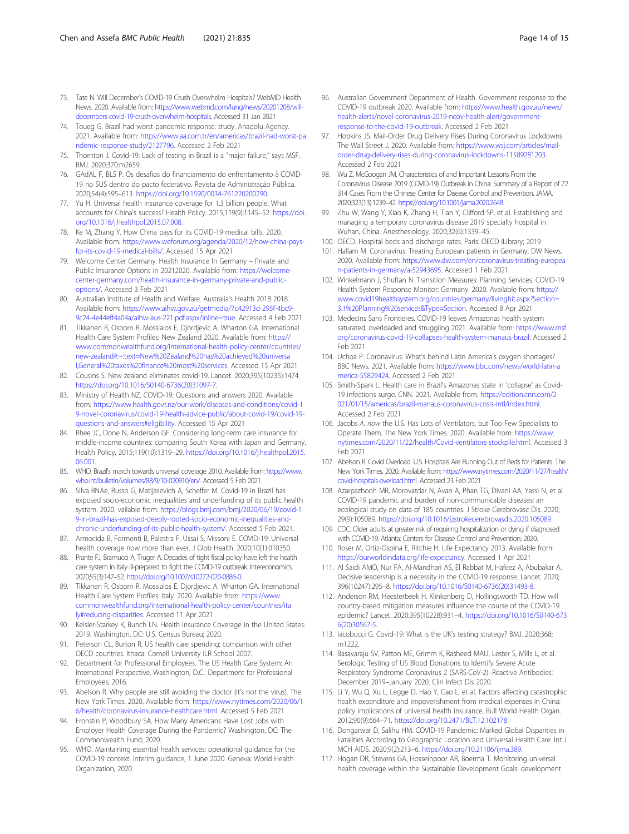- <span id="page-13-0"></span>73. Tate N. Will December's COVID-19 Crush Overwhelm Hospitals? WebMD Health News. 2020. Available from: [https://www.webmd.com/lung/news/20201208/will](https://www.webmd.com/lung/news/20201208/will-decembers-covid-19-crush-overwhelm-hospitals)[decembers-covid-19-crush-overwhelm-hospitals.](https://www.webmd.com/lung/news/20201208/will-decembers-covid-19-crush-overwhelm-hospitals) Accessed 31 Jan 2021
- 74. Toueg G. Brazil had worst pandemic response: study. Anadolu Agency. 2021. Available from: [https://www.aa.com.tr/en/americas/brazil-had-worst-pa](https://www.aa.com.tr/en/americas/brazil-had-worst-pandemic-response-study/2127796) [ndemic-response-study/2127796.](https://www.aa.com.tr/en/americas/brazil-had-worst-pandemic-response-study/2127796) Accessed 2 Feb 2021
- 75. Thornton J. Covid-19: Lack of testing in Brazil is a "major failure," says MSF. BMJ. 2020;370:m2659.
- 76. GAdAL F, BLS P. Os desafios do financiamento do enfrentamento à COVID-19 no SUS dentro do pacto federativo. Revista de Administração Pública. 2020;54(4):595–613. [https://doi.org/10.1590/0034-761220200290.](https://doi.org/10.1590/0034-761220200290)
- 77. Yu H. Universal health insurance coverage for 1.3 billion people: What accounts for China's success? Health Policy. 2015;119(9):1145–52. [https://doi.](https://doi.org/10.1016/j.healthpol.2015.07.008) [org/10.1016/j.healthpol.2015.07.008.](https://doi.org/10.1016/j.healthpol.2015.07.008)
- 78. Ke M, Zhang Y. How China pays for its COVID-19 medical bills. 2020. Available from: [https://www.weforum.org/agenda/2020/12/how-china-pays](https://www.weforum.org/agenda/2020/12/how-china-pays-for-its-covid-19-medical-bills/)[for-its-covid-19-medical-bills/.](https://www.weforum.org/agenda/2020/12/how-china-pays-for-its-covid-19-medical-bills/) Accessed 15 Apr 2021
- 79. Welcome Center Germany. Health Insurance In Germany Private and Public Insurance Options in 20212020. Available from: [https://welcome](https://welcome-center-germany.com/health-insurance-in-germany-private-and-public-options/)[center-germany.com/health-insurance-in-germany-private-and-public](https://welcome-center-germany.com/health-insurance-in-germany-private-and-public-options/)[options/.](https://welcome-center-germany.com/health-insurance-in-germany-private-and-public-options/) Accessed 3 Feb 2021
- 80. Australian Institute of Health and Welfare. Australia's Health 2018 2018. Available from: [https://www.aihw.gov.au/getmedia/7c42913d-295f-4bc9-](https://www.aihw.gov.au/getmedia/7c42913d-295f-4bc9-9c24-4e44eff4a04a/aihw-aus-221.pdf.aspx?inline=true) [9c24-4e44eff4a04a/aihw-aus-221.pdf.aspx?inline=true.](https://www.aihw.gov.au/getmedia/7c42913d-295f-4bc9-9c24-4e44eff4a04a/aihw-aus-221.pdf.aspx?inline=true) Accessed 4 Feb 2021
- 81. Tikkanen R, Osborn R, Mossialos E, Djordjevic A, Wharton GA. International Health Care System Profiles: New Zealand 2020. Available from: [https://](https://www.commonwealthfund.org/international-health-policy-center/countries/new-zealand#:~:text=New%20Zealand%20has%20achieved%20universal,General%20taxes%20finance%20most%20services) [www.commonwealthfund.org/international-health-policy-center/countries/](https://www.commonwealthfund.org/international-health-policy-center/countries/new-zealand#:~:text=New%20Zealand%20has%20achieved%20universal,General%20taxes%20finance%20most%20services) [new-zealand#:~:text=New%20Zealand%20has%20achieved%20universa](https://www.commonwealthfund.org/international-health-policy-center/countries/new-zealand#:~:text=New%20Zealand%20has%20achieved%20universal,General%20taxes%20finance%20most%20services) [l,General%20taxes%20finance%20most%20services](https://www.commonwealthfund.org/international-health-policy-center/countries/new-zealand#:~:text=New%20Zealand%20has%20achieved%20universal,General%20taxes%20finance%20most%20services). Accessed 15 Apr 2021
- 82. Cousins S. New zealand eliminates covid-19. Lancet. 2020;395(10235):1474. [https://doi.org/10.1016/S0140-6736\(20\)31097-7.](https://doi.org/10.1016/S0140-6736(20)31097-7)
- 83. Ministry of Health NZ. COVID-19: Questions and answers 2020. Available from: [https://www.health.govt.nz/our-work/diseases-and-conditions/covid-1](https://www.health.govt.nz/our-work/diseases-and-conditions/covid-19-novel-coronavirus/covid-19-health-advice-public/about-covid-19/covid-19-questions-and-answers#eligibility) [9-novel-coronavirus/covid-19-health-advice-public/about-covid-19/covid-19](https://www.health.govt.nz/our-work/diseases-and-conditions/covid-19-novel-coronavirus/covid-19-health-advice-public/about-covid-19/covid-19-questions-and-answers#eligibility) [questions-and-answers#eligibility](https://www.health.govt.nz/our-work/diseases-and-conditions/covid-19-novel-coronavirus/covid-19-health-advice-public/about-covid-19/covid-19-questions-and-answers#eligibility). Accessed 15 Apr 2021
- 84. Rhee JC, Done N, Anderson GF. Considering long-term care insurance for middle-income countries: comparing South Korea with Japan and Germany. Health Policy. 2015;119(10):1319–29. [https://doi.org/10.1016/j.healthpol.2015.](https://doi.org/10.1016/j.healthpol.2015.06.001) [06.001.](https://doi.org/10.1016/j.healthpol.2015.06.001)
- 85. WHO. Brazil's march towards universal coverage 2010. Available from: [https://www.](https://www.who.int/bulletin/volumes/88/9/10-020910/en/) [who.int/bulletin/volumes/88/9/10-020910/en/](https://www.who.int/bulletin/volumes/88/9/10-020910/en/). Accessed 5 Feb 2021
- 86. Silva RNAe, Russo G, Matijasevich A, Scheffer M. Covid-19 in Brazil has exposed socio-economic inequalities and underfunding of its public health system. 2020. vailable from: [https://blogs.bmj.com/bmj/2020/06/19/covid-1](https://blogs.bmj.com/bmj/2020/06/19/covid-19-in-brazil-has-exposed-deeply-rooted-socio-economic-inequalities-and-chronic-underfunding-of-its-public-health-system/) [9-in-brazil-has-exposed-deeply-rooted-socio-economic-inequalities-and](https://blogs.bmj.com/bmj/2020/06/19/covid-19-in-brazil-has-exposed-deeply-rooted-socio-economic-inequalities-and-chronic-underfunding-of-its-public-health-system/)[chronic-underfunding-of-its-public-health-system/.](https://blogs.bmj.com/bmj/2020/06/19/covid-19-in-brazil-has-exposed-deeply-rooted-socio-economic-inequalities-and-chronic-underfunding-of-its-public-health-system/) Accessed 5 Feb 2021.
- 87. Armocida B, Formenti B, Palestra F, Ussai S, Missoni E. COVID-19: Universal health coverage now more than ever. J Glob Health. 2020;10(1):010350.
- 88. Prante FJ, Bramucci A, Truger A. Decades of tight fiscal policy have left the health care system in Italy ill-prepared to fight the COVID-19 outbreak. Intereconomics. 2020;55(3):147–52. <https://doi.org/10.1007/s10272-020-0886-0>.
- 89. Tikkanen R, Osborn R, Mossialos E, Djordjevic A, Wharton GA. International Health Care System Profiles: Italy. 2020. Available from: [https://www.](https://www.commonwealthfund.org/international-health-policy-center/countries/italy#reducing-disparities) [commonwealthfund.org/international-health-policy-center/countries/ita](https://www.commonwealthfund.org/international-health-policy-center/countries/italy#reducing-disparities) [ly#reducing-disparities](https://www.commonwealthfund.org/international-health-policy-center/countries/italy#reducing-disparities). Accessed 11 Apr 2021
- 90. Keisler-Starkey K, Bunch LN. Health Insurance Coverage in the United States: 2019. Washington, DC: U.S. Census Bureau; 2020.
- 91. Peterson CL, Burton R. US health care spending: comparison with other OECD countries. Ithaca: Cornell University ILR School 2007.
- 92. Department for Professional Employees. The US Health Care System: An International Perspective. Washington, D.C.: Department for Professional Employees; 2016.
- 93. Abelson R. Why people are still avoiding the doctor (it's not the virus). The New York Times. 2020. Available from: [https://www.nytimes.com/2020/06/1](https://www.nytimes.com/2020/06/16/health/coronavirus-insurance-healthcare.html) [6/health/coronavirus-insurance-healthcare.html.](https://www.nytimes.com/2020/06/16/health/coronavirus-insurance-healthcare.html) Accessed 5 Feb 2021
- 94. Fronstin P, Woodbury SA. How Many Americans Have Lost Jobs with Employer Health Coverage During the Pandemic? Washington, DC: The Commonwealth Fund; 2020.
- 95. WHO. Maintaining essential health services: operational guidance for the COVID-19 context: interim guidance, 1 June 2020. Geneva: World Health Organization; 2020.
- 96. Australian Government Department of Health. Government response to the COVID-19 outbreak 2020. Available from: [https://www.health.gov.au/news/](https://www.health.gov.au/news/health-alerts/novel-coronavirus-2019-ncov-health-alert/government-response-to-the-covid-19-outbreak) [health-alerts/novel-coronavirus-2019-ncov-health-alert/government](https://www.health.gov.au/news/health-alerts/novel-coronavirus-2019-ncov-health-alert/government-response-to-the-covid-19-outbreak)[response-to-the-covid-19-outbreak](https://www.health.gov.au/news/health-alerts/novel-coronavirus-2019-ncov-health-alert/government-response-to-the-covid-19-outbreak). Accessed 2 Feb 2021
- 97. Hopkins JS. Mail-Order Drug Delivery Rises During Coronavirus Lockdowns. The Wall Street J. 2020. Available from: [https://www.wsj.com/articles/mail](https://www.wsj.com/articles/mail-order-drug-delivery-rises-during-coronavirus-lockdowns-11589281203)[order-drug-delivery-rises-during-coronavirus-lockdowns-11589281203.](https://www.wsj.com/articles/mail-order-drug-delivery-rises-during-coronavirus-lockdowns-11589281203) Accessed 2 Feb 2021
- 98. Wu Z, McGoogan JM. Characteristics of and Important Lessons From the Coronavirus Disease 2019 (COVID-19) Outbreak in China: Summary of a Report of 72 314 Cases From the Chinese Center for Disease Control and Prevention. JAMA. 2020;323(13):1239–42. [https://doi.org/10.1001/jama.2020.2648.](https://doi.org/10.1001/jama.2020.2648)
- 99. Zhu W, Wang Y, Xiao K, Zhang H, Tian Y, Clifford SP, et al. Establishing and managing a temporary coronavirus disease 2019 specialty hospital in Wuhan, China. Anesthesiology. 2020;32(6):1339–45.
- 100. OECD. Hospital beds and discharge rates. Paris: OECD ILibrary; 2019
- 101. Hallam M. Coronavirus: Treating European patients in Germany. DW News. 2020. Available from: [https://www.dw.com/en/coronavirus-treating-europea](https://www.dw.com/en/coronavirus-treating-european-patients-in-germany/a-52943695) [n-patients-in-germany/a-52943695.](https://www.dw.com/en/coronavirus-treating-european-patients-in-germany/a-52943695) Accessed 1 Feb 2021
- 102. Winkelmann J, Shuftan N. Transition Measures: Planning Services. COVID-19 Health System Response Monitor: Germany. 2020. Available from: [https://](https://www.covid19healthsystem.org/countries/germany/livinghit.aspx?Section=3.1%20Planning%20services&Type=Section) [www.covid19healthsystem.org/countries/germany/livinghit.aspx?Section=](https://www.covid19healthsystem.org/countries/germany/livinghit.aspx?Section=3.1%20Planning%20services&Type=Section) [3.1%20Planning%20services&Type=Section](https://www.covid19healthsystem.org/countries/germany/livinghit.aspx?Section=3.1%20Planning%20services&Type=Section). Accessed 8 Apr 2021
- 103. Medecins Sans Frontieres. COVID-19 leaves Amazonas health system saturated, overloaded and struggling 2021. Available from: [https://www.msf.](https://www.msf.org/coronavirus-covid-19-collapses-health-system-manaus-brazil) [org/coronavirus-covid-19-collapses-health-system-manaus-brazil.](https://www.msf.org/coronavirus-covid-19-collapses-health-system-manaus-brazil) Accessed 2 Feb 2021
- 104. Uchoa P. Coronavirus: What's behind Latin America's oxygen shortages? BBC News. 2021. Available from: [https://www.bbc.com/news/world-latin-a](https://www.bbc.com/news/world-latin-america-55829424) [merica-55829424](https://www.bbc.com/news/world-latin-america-55829424). Accessed 2 Feb 2021
- 105. Smith-Spark L. Health care in Brazil's Amazonas state in 'collapse' as Covid-19 infections surge. CNN. 2021. Available from: [https://edition.cnn.com/2](https://edition.cnn.com/2021/01/15/americas/brazil-manaus-coronavirus-crisis-intl/index.html) [021/01/15/americas/brazil-manaus-coronavirus-crisis-intl/index.html](https://edition.cnn.com/2021/01/15/americas/brazil-manaus-coronavirus-crisis-intl/index.html). Accessed 2 Feb 2021
- 106. Jacobs A. now the U.S. Has Lots of Ventilators, but Too Few Specialists to Operate Them. The New York Times. 2020. Available from: [https://www.](https://www.nytimes.com/2020/11/22/health/Covid-ventilators-stockpile.html) [nytimes.com/2020/11/22/health/Covid-ventilators-stockpile.html](https://www.nytimes.com/2020/11/22/health/Covid-ventilators-stockpile.html). Accessed 3 Feb 2021
- 107. Abelson R. Covid Overload: U.S. Hospitals Are Running Out of Beds for Patients. The New York Times. 2020. Available from: [https://www.nytimes.com/2020/11/27/health/](https://www.nytimes.com/2020/11/27/health/covid-hospitals-overload.html) [covid-hospitals-overload.html.](https://www.nytimes.com/2020/11/27/health/covid-hospitals-overload.html) Accessed 23 Feb 2021
- 108. Azarpazhooh MR, Morovatdar N, Avan A, Phan TG, Divani AA, Yassi N, et al. COVID-19 pandemic and burden of non-communicable diseases: an ecological study on data of 185 countries. J Stroke Cerebrovasc Dis. 2020; 29(9):105089. <https://doi.org/10.1016/j.jstrokecerebrovasdis.2020.105089>.
- 109. CDC. Older adults at greater risk of requiring hospitalization or dying if diagnosed with COVID-19. Atlanta: Centers for Disease Control and Prevention; 2020.
- 110. Roser M, Ortiz-Ospina E, Ritchie H. Life Expectancy 2013. Available from: [https://ourworldindata.org/life-expectancy.](https://ourworldindata.org/life-expectancy) Accessed 1 Apr 2021
- 111. Al Saidi AMO, Nur FA, Al-Mandhari AS, El Rabbat M, Hafeez A, Abubakar A. Decisive leadership is a necessity in the COVID-19 response. Lancet. 2020; 396(10247):295–8. [https://doi.org/10.1016/S0140-6736\(20\)31493-8](https://doi.org/10.1016/S0140-6736(20)31493-8).
- 112. Anderson RM, Heesterbeek H, Klinkenberg D, Hollingsworth TD. How will country-based mitigation measures influence the course of the COVID-19 epidemic? Lancet. 2020;395(10228):931–4. [https://doi.org/10.1016/S0140-673](https://doi.org/10.1016/S0140-6736(20)30567-5) [6\(20\)30567-5](https://doi.org/10.1016/S0140-6736(20)30567-5).
- 113. Iacobucci G. Covid-19: What is the UK's testing strategy? BMJ. 2020;368: m1222.
- 114. Basavaraju SV, Patton ME, Grimm K, Rasheed MAU, Lester S, Mills L, et al. Serologic Testing of US Blood Donations to Identify Severe Acute Respiratory Syndrome Coronavirus 2 (SARS-CoV-2)–Reactive Antibodies: December 2019–January 2020. Clin Infect Dis 2020.
- 115. Li Y, Wu Q, Xu L, Legge D, Hao Y, Gao L, et al. Factors affecting catastrophic health expenditure and impoverishment from medical expenses in China: policy implications of universal health insurance. Bull World Health Organ. 2012;90(9):664–71. [https://doi.org/10.2471/BLT.12.102178.](https://doi.org/10.2471/BLT.12.102178)
- 116. Dongarwar D, Salihu HM. COVID-19 Pandemic: Marked Global Disparities in Fatalities According to Geographic Location and Universal Health Care. Int J MCH AIDS. 2020;9(2):213–6. [https://doi.org/10.21106/ijma.389.](https://doi.org/10.21106/ijma.389)
- 117. Hogan DR, Stevens GA, Hosseinpoor AR, Boerma T. Monitoring universal health coverage within the Sustainable Development Goals: development